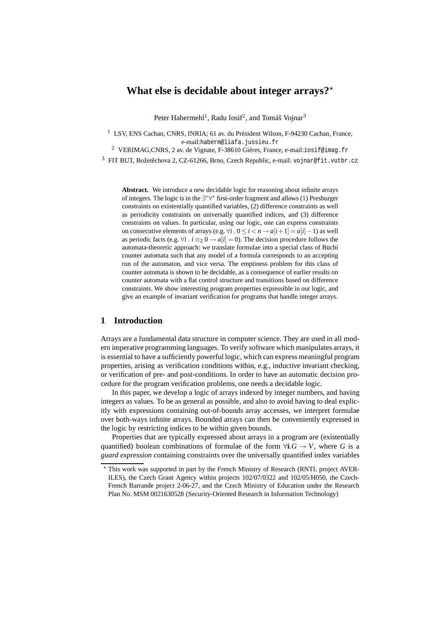# **What else is decidable about integer arrays?**?

Peter Habermehl<sup>1</sup>, Radu Iosif<sup>2</sup>, and Tomáš Vojnar<sup>3</sup>

<sup>1</sup> LSV, ENS Cachan, CNRS, INRIA; 61 av. du Président Wilson, F-94230 Cachan, France, e-mail:haberm@liafa.jussieu.fr

<sup>2</sup> VERIMAG,CNRS, 2 av. de Vignate, F-38610 Gières, France, e-mail:iosif@imag.fr

 $3$  FIT BUT, Božetěchova 2, CZ-61266, Brno, Czech Republic, e-mail: vojnar@fit.vutbr.cz

**Abstract.** We introduce a new decidable logic for reasoning about infinite arrays of integers. The logic is in the ∃ ∗∀ <sup>∗</sup> first-order fragment and allows (1) Presburger constraints on existentially quantified variables, (2) difference constraints as well as periodicity constraints on universally quantified indices, and (3) difference constraints on values. In particular, using our logic, one can express constraints on consecutive elements of arrays (e.g.  $\forall i$  .  $0 \le i < n \rightarrow a[i+1] = a[i]-1$ ) as well as periodic facts (e.g.  $\forall i \cdot i \equiv_2 0 \rightarrow a[i] = 0$ ). The decision procedure follows the automata-theoretic approach: we translate formulae into a special class of Büchi counter automata such that any model of a formula corresponds to an accepting run of the automaton, and vice versa. The emptiness problem for this class of counter automata is shown to be decidable, as a consequence of earlier results on counter automata with a flat control structure and transitions based on difference constraints. We show interesting program properties expressible in our logic, and give an example of invariant verification for programs that handle integer arrays.

# **1 Introduction**

Arrays are a fundamental data structure in computer science. They are used in all modern imperative programming languages. To verify software which manipulates arrays, it is essential to have a sufficiently powerful logic, which can express meaningful program properties, arising as verification conditions within, e.g., inductive invariant checking, or verification of pre- and post-conditions. In order to have an automatic decision procedure for the program verification problems, one needs a decidable logic.

In this paper, we develop a logic of arrays indexed by integer numbers, and having integers as values. To be as general as possible, and also to avoid having to deal explicitly with expressions containing out-of-bounds array accesses, we interpret formulae over both-ways infinite arrays. Bounded arrays can then be conveniently expressed in the logic by restricting indices to be within given bounds.

Properties that are typically expressed about arrays in a program are (existentially quantified) boolean combinations of formulae of the form  $\forall i$ . $G \rightarrow V$ , where *G* is a *guard expression* containing constraints over the universally quantified index variables

<sup>?</sup> This work was supported in part by the French Ministry of Research (RNTL project AVER-ILES), the Czech Grant Agency within projects 102/07/0322 and 102/05/H050, the Czech-French Barrande project 2-06-27, and the Czech Ministry of Education under the Research Plan No. MSM 0021630528 (Security-Oriented Research in Information Technology)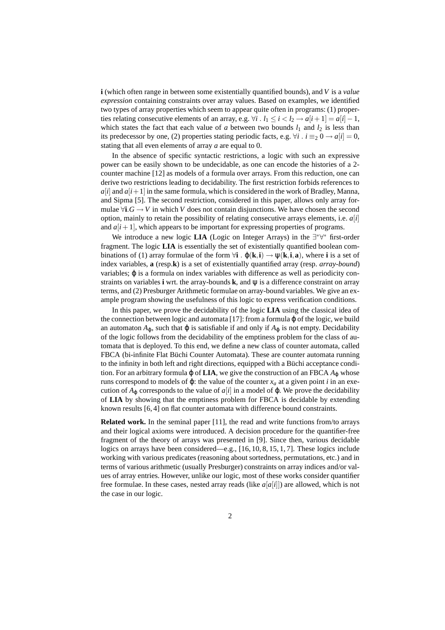**i** (which often range in between some existentially quantified bounds), and *V* is a *value expression* containing constraints over array values. Based on examples, we identified two types of array properties which seem to appear quite often in programs: (1) properties relating consecutive elements of an array, e.g.  $\forall i$  .  $l_1 \leq i < l_2 \rightarrow a[i+1] = a[i] - 1$ , which states the fact that each value of *a* between two bounds  $l_1$  and  $l_2$  is less than its predecessor by one, (2) properties stating periodic facts, e.g.  $\forall i \cdot i \equiv_2 0 \rightarrow a[i] = 0$ , stating that all even elements of array *a* are equal to 0.

In the absence of specific syntactic restrictions, a logic with such an expressive power can be easily shown to be undecidable, as one can encode the histories of a 2 counter machine [12] as models of a formula over arrays. From this reduction, one can derive two restrictions leading to decidability. The first restriction forbids references to  $a[i]$  and  $a[i+1]$  in the same formula, which is considered in the work of Bradley, Manna, and Sipma [5]. The second restriction, considered in this paper, allows only array formulae  $\forall i. G \rightarrow V$  in which *V* does not contain disjunctions. We have chosen the second option, mainly to retain the possibility of relating consecutive arrays elements, i.e. *a*[*i*] and  $a[i+1]$ , which appears to be important for expressing properties of programs.

We introduce a new logic **LIA** (Logic on Integer Arrays) in the ∃<sup>\*</sup>∀<sup>\*</sup> first-order fragment. The logic **LIA** is essentially the set of existentially quantified boolean combinations of (1) array formulae of the form  $\forall i$  .  $\varphi(k,i) \rightarrow \psi(k,i,a)$ , where **i** is a set of index variables, **a** (resp.**k**) is a set of existentially quantified array (resp. *array-bound*) variables; ϕ is a formula on index variables with difference as well as periodicity constraints on variables **i** wrt. the array-bounds **k**, and ψ is a difference constraint on array terms, and (2) Presburger Arithmetic formulae on array-bound variables. We give an example program showing the usefulness of this logic to express verification conditions.

In this paper, we prove the decidability of the logic **LIA** using the classical idea of the connection between logic and automata [17]: from a formula  $\varphi$  of the logic, we build an automaton  $A_{\phi}$ , such that  $\phi$  is satisfiable if and only if  $A_{\phi}$  is not empty. Decidability of the logic follows from the decidability of the emptiness problem for the class of automata that is deployed. To this end, we define a new class of counter automata, called FBCA (bi-infinite Flat Büchi Counter Automata). These are counter automata running to the infinity in both left and right directions, equipped with a Büchi acceptance condition. For an arbitrary formula  $\varphi$  of **LIA**, we give the construction of an FBCA  $A_{\varphi}$  whose runs correspond to models of  $\varphi$ : the value of the counter  $x_a$  at a given point *i* in an execution of  $A_{\varphi}$  corresponds to the value of  $a[i]$  in a model of  $\varphi$ . We prove the decidability of **LIA** by showing that the emptiness problem for FBCA is decidable by extending known results [6, 4] on flat counter automata with difference bound constraints.

**Related work.** In the seminal paper [11], the read and write functions from/to arrays and their logical axioms were introduced. A decision procedure for the quantifier-free fragment of the theory of arrays was presented in [9]. Since then, various decidable logics on arrays have been considered—e.g., [16, 10, 8, 15, 1, 7]. These logics include working with various predicates (reasoning about sortedness, permutations, etc.) and in terms of various arithmetic (usually Presburger) constraints on array indices and/or values of array entries. However, unlike our logic, most of these works consider quantifier free formulae. In these cases, nested array reads (like  $a[a[i]]$ ) are allowed, which is not the case in our logic.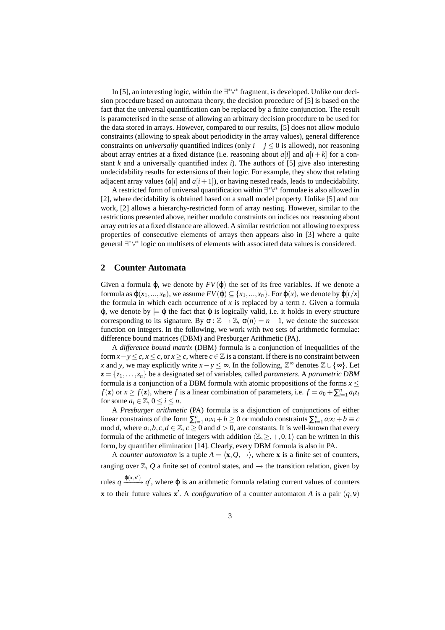In [5], an interesting logic, within the ∃<sup>\*∀\*</sup> fragment, is developed. Unlike our decision procedure based on automata theory, the decision procedure of [5] is based on the fact that the universal quantification can be replaced by a finite conjunction. The result is parameterised in the sense of allowing an arbitrary decision procedure to be used for the data stored in arrays. However, compared to our results, [5] does not allow modulo constraints (allowing to speak about periodicity in the array values), general difference constraints on *universally* quantified indices (only  $i - j \leq 0$  is allowed), nor reasoning about array entries at a fixed distance (i.e. reasoning about  $a[i]$  and  $a[i+k]$  for a constant  $k$  and a universally quantified index  $i$ ). The authors of [5] give also interesting undecidability results for extensions of their logic. For example, they show that relating adjacent array values  $(a[i]$  and  $a[i+1]$ ), or having nested reads, leads to undecidability.

A restricted form of universal quantification within ∃ ∗∀ ∗ formulae is also allowed in [2], where decidability is obtained based on a small model property. Unlike [5] and our work, [2] allows a hierarchy-restricted form of array nesting. However, similar to the restrictions presented above, neither modulo constraints on indices nor reasoning about array entries at a fixed distance are allowed. A similar restriction not allowing to express properties of consecutive elements of arrays then appears also in [3] where a quite general ∃\*∀\* logic on multisets of elements with associated data values is considered.

# **2 Counter Automata**

Given a formula  $\varphi$ , we denote by  $FV(\varphi)$  the set of its free variables. If we denote a formula as  $\varphi(x_1,...,x_n)$ , we assume  $FV(\varphi) \subseteq \{x_1,...,x_n\}$ . For  $\varphi(x)$ , we denote by  $\varphi[t/x]$ the formula in which each occurrence of  $x$  is replaced by a term  $t$ . Given a formula  $\varphi$ , we denote by  $\models \varphi$  the fact that  $\varphi$  is logically valid, i.e. it holds in every structure corresponding to its signature. By  $\sigma : \mathbb{Z} \to \mathbb{Z}$ ,  $\sigma(n) = n + 1$ , we denote the successor function on integers. In the following, we work with two sets of arithmetic formulae: difference bound matrices (DBM) and Presburger Arithmetic (PA).

A *difference bound matrix* (DBM) formula is a conjunction of inequalities of the form  $x - y \leq c, x \leq c$ , or  $x \geq c$ , where  $c \in \mathbb{Z}$  is a constant. If there is no constraint between *x* and *y*, we may explicitly write  $x - y \leq \infty$ . In the following,  $\mathbb{Z}^{\infty}$  denotes  $\mathbb{Z} \cup \{ \infty \}$ . Let  $z = \{z_1, \ldots, z_n\}$  be a designated set of variables, called *parameters*. A *parametric DBM* formula is a conjunction of a DBM formula with atomic propositions of the forms  $x \leq$ *f*(**z**) or  $x \ge f(\mathbf{z})$ , where *f* is a linear combination of parameters, i.e.  $f = a_0 + \sum_{i=1}^n a_i z_i$ for some  $a_i \in \mathbb{Z}, 0 \leq i \leq n$ .

A *Presburger arithmetic* (PA) formula is a disjunction of conjunctions of either linear constraints of the form  $\sum_{i=1}^{n} a_i x_i + b \ge 0$  or modulo constraints  $\sum_{i=1}^{n} a_i x_i + b \equiv c$ mod *d*, where  $a_i, b, c, d \in \mathbb{Z}$ ,  $c \ge 0$  and  $d > 0$ , are constants. It is well-known that every formula of the arithmetic of integers with addition  $\langle \mathbb{Z}, \geq, +,0,1 \rangle$  can be written in this form, by quantifier elimination [14]. Clearly, every DBM formula is also in PA.

A *counter automaton* is a tuple  $A = \langle \mathbf{x}, Q, \rightarrow \rangle$ , where **x** is a finite set of counters, ranging over  $\mathbb{Z}, Q$  a finite set of control states, and  $\rightarrow$  the transition relation, given by rules *q*  $\frac{\varphi(\mathbf{x}, \mathbf{x}')}{q}$  *q'*, where φ is an arithmetic formula relating current values of counters **x** to their future values **x**<sup>*'*</sup>. A *configuration* of a counter automaton *A* is a pair  $(q, v)$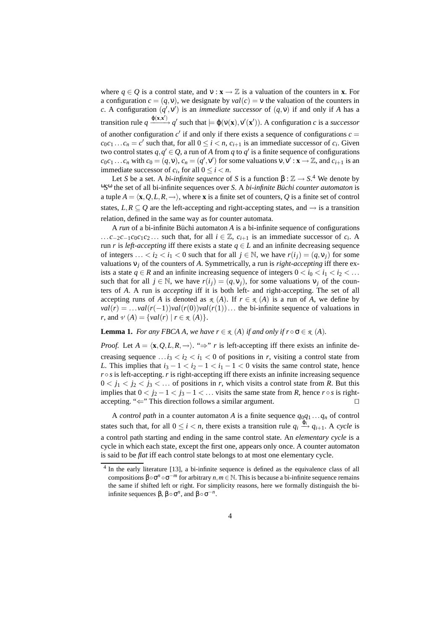where  $q \in Q$  is a control state, and  $v : \mathbf{x} \to \mathbb{Z}$  is a valuation of the counters in **x**. For a configuration  $c = (q, v)$ , we designate by  $val(c) = v$  the valuation of the counters in *c*. A configuration  $(q', v')$  is an *immediate successor* of  $(q, v)$  if and only if *A* has a transition rule  $q \xrightarrow{\varphi(\mathbf{x}, \mathbf{x}')} q'$  such that  $\models \varphi(\mathsf{v}(\mathbf{x}), \mathsf{v}'(\mathbf{x}'))$ . A configuration *c* is a *successor* of another configuration  $c'$  if and only if there exists a sequence of configurations  $c =$  $c_0c_1 \ldots c_n = c'$  such that, for all  $0 \le i < n$ ,  $c_{i+1}$  is an immediate successor of  $c_i$ . Given two control states  $q, q' \in Q$ , a run of *A* from *q* to *q'* is a finite sequence of configurations  $c_0c_1 \ldots c_n$  with  $c_0 = (q, v)$ ,  $c_n = (q', v')$  for some valuations  $v, v' : \mathbf{x} \to \mathbb{Z}$ , and  $c_{i+1}$  is an immediate successor of  $c_i$ , for all  $0 \le i < n$ .

Let *S* be a set. A *bi-infinite sequence* of *S* is a function  $\beta$  :  $\mathbb{Z} \to S$ .<sup>4</sup> We denote by <sup>ω</sup>S<sup>ω</sup> the set of all bi-infinite sequences over *S*. A *bi-infinite Büchi counter automaton* is a tuple  $A = \langle \mathbf{x}, Q, L, R, \rightarrow \rangle$ , where **x** is a finite set of counters, *Q* is a finite set of control states,  $L, R \subseteq Q$  are the left-accepting and right-accepting states, and  $\rightarrow$  is a transition relation, defined in the same way as for counter automata.

A *run* of a bi-infinite Büchi automaton *A* is a bi-infinite sequence of configurations ... *c*−2*c*−1*c*<sub>0</sub>*c*<sub>1</sub>*c*<sub>2</sub> ... such that, for all *i* ∈  $\mathbb{Z}$ , *c*<sub>*i*+1</sub> is an immediate successor of *c<sub><i>i*</sub>. A run *r* is *left-accepting* iff there exists a state  $q \in L$  and an infinite decreasing sequence of integers ... <  $i_2 < i_1 < 0$  such that for all  $j \in \mathbb{N}$ , we have  $r(i_j) = (q, v_j)$  for some valuations ν*<sup>j</sup>* of the counters of *A*. Symmetrically, a run is *right-accepting* iff there exists a state  $q \in R$  and an infinite increasing sequence of integers  $0 \lt i_0 \lt i_1 \lt i_2 \lt \ldots$ such that for all  $j \in \mathbb{N}$ , we have  $r(i_j) = (q, v_j)$ , for some valuations  $v_j$  of the counters of *A*. A run is *accepting* iff it is both left- and right-accepting. The set of all accepting runs of *A* is denoted as  $\mathcal{R}(A)$ . If  $r \in \mathcal{R}(A)$  is a run of *A*, we define by  $val(r) = ... \text{val}(r(-1))\text{val}(r(0))\text{val}(r(1))...$  the bi-infinite sequence of valuations in *r*, and  $\nu(A) = \{ val(r) | r \in \mathcal{R}(A) \}.$ 

### **Lemma 1.** *For any FBCA A, we have*  $r \in \mathcal{R}(A)$  *if and only if*  $r \circ \sigma \in \mathcal{R}(A)$ *.*

*Proof.* Let  $A = \langle \mathbf{x}, Q, L, R, \rightarrow \rangle$ . "⇒" *r* is left-accepting iff there exists an infinite decreasing sequence ... $i_3 < i_2 < i_1 < 0$  of positions in *r*, visiting a control state from *L*. This implies that  $i_3 - 1 < i_2 - 1 < i_1 - 1 < 0$  visits the same control state, hence  $r \circ s$  is left-accepting.  $r$  is right-accepting iff there exists an infinite increasing sequence  $0 < j_1 < j_2 < j_3 < \ldots$  of positions in r, which visits a control state from R. But this implies that  $0 < j_2 - 1 < j_3 - 1 < ...$  visits the same state from *R*, hence  $r \circ s$  is rightaccepting. " $\Leftarrow$ " This direction follows a similar argument.

A *control path* in a counter automaton *A* is a finite sequence  $q_0q_1...q_n$  of control states such that, for all  $0 \le i < n$ , there exists a transition rule  $q_i \stackrel{\varphi_i}{\longrightarrow} q_{i+1}$ . A *cycle* is a control path starting and ending in the same control state. An *elementary cycle* is a cycle in which each state, except the first one, appears only once. A counter automaton is said to be *flat* iff each control state belongs to at most one elementary cycle.

<sup>&</sup>lt;sup>4</sup> In the early literature [13], a bi-infinite sequence is defined as the equivalence class of all compositions β◦σ *<sup>n</sup>* ◦σ <sup>−</sup>*<sup>m</sup>* for arbitrary *n*,*m* ∈ N. This is because a bi-infinite sequence remains the same if shifted left or right. For simplicity reasons, here we formally distinguish the biinfinite sequences  $\beta$ ,  $\beta \circ \sigma^n$ , and  $\beta \circ \sigma^{-n}$ .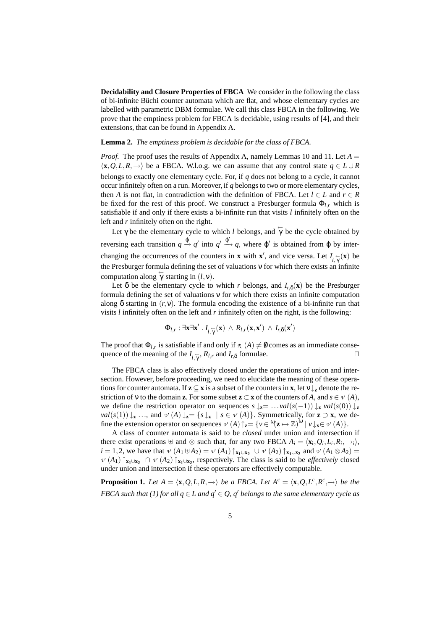**Decidability and Closure Properties of FBCA** We consider in the following the class of bi-infinite Büchi counter automata which are flat, and whose elementary cycles are labelled with parametric DBM formulae. We call this class FBCA in the following. We prove that the emptiness problem for FBCA is decidable, using results of [4], and their extensions, that can be found in Appendix A.

### **Lemma 2.** *The emptiness problem is decidable for the class of FBCA.*

*Proof.* The proof uses the results of Appendix A, namely Lemmas 10 and 11. Let  $A =$  $\langle \mathbf{x}, Q, L, R, \rightarrow \rangle$  be a FBCA. W.l.o.g. we can assume that any control state  $q \in L \cup R$ belongs to exactly one elementary cycle. For, if *q* does not belong to a cycle, it cannot occur infinitely often on a run. Moreover, if *q* belongs to two or more elementary cycles, then *A* is not flat, in contradiction with the definition of FBCA. Let  $l \in L$  and  $r \in R$ be fixed for the rest of this proof. We construct a Presburger formula  $\Phi$ <sub>*l,r*</sub> which is satisfiable if and only if there exists a bi-infinite run that visits *l* infinitely often on the left and *r* infinitely often on the right.

Let  $\gamma$  be the elementary cycle to which *l* belongs, and  $\gamma$  be the cycle obtained by reversing each transition  $q \stackrel{\phi}{\to} q'$  into  $q' \stackrel{\phi'}{\to} q$ , where φ' is obtained from φ by interchanging the occurrences of the counters in **x** with **x**<sup>'</sup>, and vice versa. Let  $I_{\substack{r \to \gamma \\ r}}(\mathbf{x})$  be the Presburger formula defining the set of valuations ν for which there exists an infinite computation along  $\overleftarrow{\gamma}$  starting in  $(l, v)$ .

Let  $\delta$  be the elementary cycle to which *r* belongs, and  $I_{r,\delta}(\mathbf{x})$  be the Presburger formula defining the set of valuations ν for which there exists an infinite computation along  $\delta$  starting in  $(r, v)$ . The formula encoding the existence of a bi-infinite run that visits *l* infinitely often on the left and *r* infinitely often on the right, is the following:

$$
\Phi_{l,r} : \exists \mathbf{x} \exists \mathbf{x}' \,.\, I_{l,\gamma}(\mathbf{x}) \,\wedge\, R_{l,r}(\mathbf{x},\mathbf{x}') \,\wedge\, I_{r,\delta}(\mathbf{x}')
$$

The proof that  $\Phi_{l,r}$  is satisfiable if and only if  $\mathcal{R}(A) \neq \emptyset$  comes as an immediate consequence of the meaning of the  $I_{l,\gamma}$ ,  $R_{l,r}$  and  $I_{r,\delta}$  formulae.

The FBCA class is also effectively closed under the operations of union and intersection. However, before proceeding, we need to elucidate the meaning of these operations for counter automata. If  $z \subseteq x$  is a subset of the counters in  $x$ , let  $v \downarrow_z$  denote the restriction of v to the domain **z**. For some subset **z**  $\subset$  **x** of the counters of *A*, and *s*  $\in \mathcal{V}(A)$ , we define the restriction operator on sequences  $s \downarrow z = ... \text{val}(s(-1)) \downarrow z \text{val}(s(0)) \downarrow z$ *val*(*s*(1))  $\downarrow$ **z** ..., and  $\mathcal{V}(A) \downarrow$ **z**= { $s \downarrow$ **z** |  $s \in \mathcal{V}(A)$ }. Symmetrically, for **z**  $\supset$  **x**, we define the extension operator on sequences  $\nu(A)$   $\uparrow$ <sub>**z**</sub> = { $\nu \in \mathcal{C}$  $(\mathbf{z} \mapsto \mathbb{Z})^{\omega}$  |  $\nu \downarrow$ **x** $\in \nu(A)$ }.

A class of counter automata is said to be *closed* under union and intersection if there exist operations  $\forall$  and  $\otimes$  such that, for any two FBCA  $A_i = \langle \mathbf{x_i}, Q_i, L_i, R_i, \rightarrow_i \rangle$ ,  $i = 1, 2$ , we have that  $\nu$   $(A_1 \oplus A_2) = \nu (A_1) \uparrow_{\mathbf{x}_1 \cup \mathbf{x}_2} \cup \nu (A_2) \uparrow_{\mathbf{x}_1 \cup \mathbf{x}_2}$  and  $\nu (A_1 \otimes A_2) =$  $\mathcal{V}(A_1) \uparrow_{\mathbf{x}_1 \cup \mathbf{x}_2} \cap \mathcal{V}(A_2) \uparrow_{\mathbf{x}_1 \cup \mathbf{x}_2}$ , respectively. The class is said to be *effectively* closed under union and intersection if these operators are effectively computable.

**Proposition 1.** *Let*  $A = \langle \mathbf{x}, Q, L, R, \rightarrow \rangle$  *be a FBCA. Let*  $A^c = \langle \mathbf{x}, Q, L^c, R^c, \rightarrow \rangle$  *be the FBCA such that (1) for all*  $q \in L$  *and*  $q' \in Q$ *, q' belongs to the same elementary cycle as*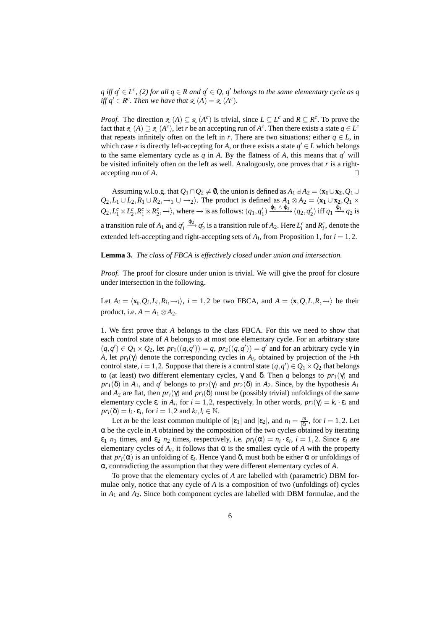*q* iff  $q'$  ∈ *L*<sup>c</sup>, (2) for all  $q$  ∈ *R* and  $q'$  ∈ *Q*,  $q'$  *belongs to the same elementary cycle as q iff*  $q' \in R^c$ *. Then we have that*  $\mathcal{R}(A) = \mathcal{R}(A^c)$ *.* 

*Proof.* The direction  $\mathcal{R}(A) \subseteq \mathcal{R}(A^c)$  is trivial, since  $L \subseteq L^c$  and  $R \subseteq R^c$ . To prove the fact that  $\pi$  (*A*)  $\supseteq \pi$  (*A<sup>c</sup>*), let *r* be an accepting run of *A<sup>c</sup>*. Then there exists a state  $q \in L^c$ that repeats infinitely often on the left in *r*. There are two situations: either  $q \in L$ , in which case *r* is directly left-accepting for *A*, or there exists a state  $q' \in L$  which belongs to the same elementary cycle as  $q$  in  $A$ . By the flatness of  $A$ , this means that  $q'$  will be visited infinitely often on the left as well. Analogously, one proves that *r* is a right- $\Box$  accepting run of *A*.

Assuming w.l.o.g. that  $Q_1 \cap Q_2 \neq \emptyset$ , the union is defined as  $A_1 \oplus A_2 = \langle \mathbf{x}_1 \cup \mathbf{x}_2, Q_1 \cup \mathbf{x}_2 \rangle$ *Q*<sub>2</sub>,*L*<sub>1</sub> ∪ *L*<sub>2</sub>,*R*<sub>1</sub> ∪ *R*<sub>2</sub>, →<sub>1</sub> ∪ →<sub>2</sub><sup>)</sup>. The product is defined as  $A_1 \otimes A_2 = \langle \mathbf{x}_1 \cup \mathbf{x}_2, Q_1 \times$  $Q_2, L_1^c \times L_2^c, R_1^c \times R_2^c, \rightarrow\rangle$ , where  $\rightarrow$  is as follows:  $(q_1, q'_1) \xrightarrow{\phi_1 \wedge \phi_2} (q_2, q'_2)$  iff  $q_1 \xrightarrow{\phi_1} q_2$  is a transition rule of  $A_1$  and  $q'_1 \xrightarrow{\phi_2} q'_2$  is a transition rule of  $A_2$ . Here  $L_i^c$  and  $R_i^c$ , denote the extended left-accepting and right-accepting sets of  $A_i$ , from Proposition 1, for  $i = 1, 2$ .

#### **Lemma 3.** *The class of FBCA is effectively closed under union and intersection.*

*Proof.* The proof for closure under union is trivial. We will give the proof for closure under intersection in the following.

Let  $A_i = \langle \mathbf{x}_i, Q_i, L_i, R_i, \rightarrow i \rangle$ ,  $i = 1, 2$  be two FBCA, and  $A = \langle \mathbf{x}, Q, L, R, \rightarrow \rangle$  be their product, i.e.  $A = A_1 \otimes A_2$ .

1. We first prove that *A* belongs to the class FBCA. For this we need to show that each control state of *A* belongs to at most one elementary cycle. For an arbitrary state  $(q, q') \in Q_1 \times Q_2$ , let  $pr_1((q, q')) = q$ ,  $pr_2((q, q')) = q'$  and for an arbitrary cycle  $\gamma$  in *A*, let *pri*(γ) denote the corresponding cycles in *A<sup>i</sup>* , obtained by projection of the *i*-th control state,  $i = 1, 2$ . Suppose that there is a control state  $(q, q') \in Q_1 \times Q_2$  that belongs to (at least) two different elementary cycles, γ and δ. Then *q* belongs to  $pr_1(γ)$  and  $pr_1(\delta)$  in  $A_1$ , and  $q'$  belongs to  $pr_2(\gamma)$  and  $pr_2(\delta)$  in  $A_2$ . Since, by the hypothesis  $A_1$ and  $A_2$  are flat, then  $pr_i(\gamma)$  and  $pr_i(\delta)$  must be (possibly trivial) unfoldings of the same elementary cycle  $\varepsilon_i$  in  $A_i$ , for  $i = 1, 2$ , respectively. In other words,  $pr_i(\gamma) = k_i \cdot \varepsilon_i$  and  $pr_i(\delta) = l_i \cdot \varepsilon_i$ , for  $i = 1, 2$  and  $k_i, l_i \in \mathbb{N}$ .

Let *m* be the least common multiple of  $|\varepsilon_1|$  and  $|\varepsilon_2|$ , and  $n_i = \frac{m}{|\varepsilon_i|}$ , for  $i = 1, 2$ . Let  $\alpha$  be the cycle in *A* obtained by the composition of the two cycles obtained by iterating  $\varepsilon_1$  *n*<sub>1</sub> times, and  $\varepsilon_2$  *n*<sub>2</sub> times, respectively, i.e.  $pr_i(\alpha) = n_i \cdot \varepsilon_i$ ,  $i = 1, 2$ . Since  $\varepsilon_i$  are elementary cycles of  $A_i$ , it follows that  $\alpha$  is the smallest cycle of  $A$  with the property that  $pr_i(\alpha)$  is an unfolding of  $\varepsilon_i$ . Hence γ and δ, must both be either α or unfoldings of α, contradicting the assumption that they were different elementary cycles of *A*.

To prove that the elementary cycles of *A* are labelled with (parametric) DBM formulae only, notice that any cycle of *A* is a composition of two (unfoldings of) cycles in *A*<sup>1</sup> and *A*2. Since both component cycles are labelled with DBM formulae, and the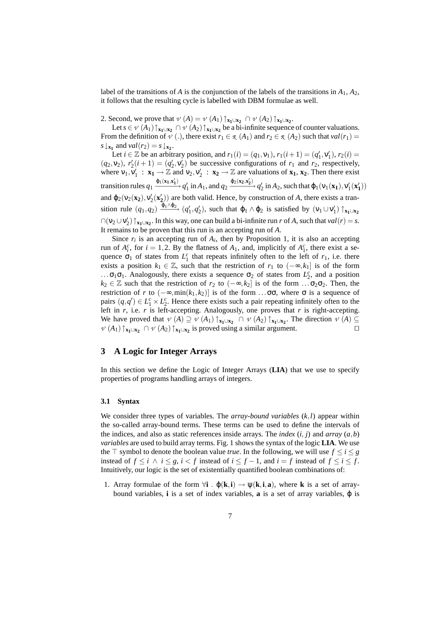label of the transitions of *A* is the conjunction of the labels of the transitions in  $A_1$ ,  $A_2$ , it follows that the resulting cycle is labelled with DBM formulae as well.

2. Second, we prove that  $\nu(A) = \nu(A_1) \uparrow_{\mathbf{x}_1 \cup \mathbf{x}_2} \cap \nu(A_2) \uparrow_{\mathbf{x}_1 \cup \mathbf{x}_2}$ .

Let  $s \in \nu$   $(A_1) \uparrow_{x_1 \cup x_2} \cap \nu$   $(A_2) \uparrow_{x_1 \cup x_2}$  be a bi-infinite sequence of counter valuations. From the definition of  $\nu$  (.), there exist  $r_1 \in \mathcal{R}(A_1)$  and  $r_2 \in \mathcal{R}(A_2)$  such that  $val(r_1) =$  $s \downarrow_{\mathbf{x_1}}$  and  $val(r_2) = s \downarrow_{\mathbf{x_2}}$ .

Let  $i \in \mathbb{Z}$  be an arbitrary position, and  $r_1(i) = (q_1, v_1), r_1(i+1) = (q'_1, v'_1), r_2(i) =$  $(q_2, v_2)$ ,  $r'_2(i+1) = (q'_2, v'_2)$  be successive configurations of  $r_1$  and  $r_2$ , respectively, where  $v_1, v_1' : \mathbf{x}_1 \to \mathbb{Z}$  and  $v_2, v_2' : \mathbf{x}_2 \to \mathbb{Z}$  are valuations of  $\mathbf{x}_1, \mathbf{x}_2$ . Then there exist transition rules  $q_1 \xrightarrow{\phi_1(\mathbf{x_1}, \mathbf{x_1'})} q_1'$  in  $A_1$ , and  $q_2 \xrightarrow{\phi_2(\mathbf{x_2}, \mathbf{x_2'})} q_2'$  in  $A_2$ , such that  $\phi_1(\mathbf{v}_1(\mathbf{x_1}), \mathbf{v}_1'(\mathbf{x_1'}))$ and  $\varphi_2(\nu_2(\mathbf{x}_2), \nu'_2(\mathbf{x}'_2))$  are both valid. Hence, by construction of *A*, there exists a transition rule  $(q_1, q_2) \xrightarrow{\phi_1 \wedge \phi_2} (q'_1, q'_2)$ , such that  $\phi_1 \wedge \phi_2$  is satisfied by  $(\mathsf{v}_1 \cup \mathsf{v}'_1) \uparrow_{\mathbf{x}_1 \cup \mathbf{x}_2}$  $\bigcap (v_2 \cup v'_2) \uparrow_{x_1 \cup x_2}$ . In this way, one can build a bi-infinite run *r* of *A*, such that  $val(r) = s$ . It remains to be proven that this run is an accepting run of *A*.

Since  $r_i$  is an accepting run of  $A_i$ , then by Proposition 1, it is also an accepting run of  $A_i^c$ , for  $i = 1, 2$ . By the flatness of  $A_1$ , and, implicitly of  $A_1^c$ , there exist a sequence  $\sigma_1$  of states from  $L_1^c$  that repeats infinitely often to the left of  $r_1$ , i.e. there exists a position  $k_1 \in \mathbb{Z}$ , such that the restriction of  $r_1$  to  $(-\infty, k_1]$  is of the form ... $\sigma_1 \sigma_1$ . Analogously, there exists a sequence  $\sigma_2$  of states from  $L_2^c$ , and a position  $k_2$  ∈  $\mathbb Z$  such that the restriction of  $r_2$  to  $(-\infty, k_2]$  is of the form ... $\sigma_2 \sigma_2$ . Then, the restriction of *r* to  $(-∞, min(k_1, k_2)]$  is of the form ...σσ, where σ is a sequence of pairs  $(q, q') \in L_1^c \times L_2^c$ . Hence there exists such a pair repeating infinitely often to the left in *r*, i.e. *r* is left-accepting. Analogously, one proves that *r* is right-accepting. We have proved that  $\nu(A) \supseteq \nu(A_1) \uparrow_{\mathbf{x}_1 \cup \mathbf{x}_2} \cap \nu(A_2) \uparrow_{\mathbf{x}_1 \cup \mathbf{x}_2}$ . The direction  $\nu(A) \subseteq$  $\mathcal{V}(A_1) \uparrow_{\mathbf{x}_1 \cup \mathbf{x}_2} \cap \mathcal{V}(A_2) \uparrow_{\mathbf{x}_1 \cup \mathbf{x}_2}$  is proved using a similar argument. □

# **3 A Logic for Integer Arrays**

In this section we define the Logic of Integer Arrays (**LIA**) that we use to specify properties of programs handling arrays of integers.

#### **3.1 Syntax**

We consider three types of variables. The *array-bound variables* (*k*,*l*) appear within the so-called array-bound terms. These terms can be used to define the intervals of the indices, and also as static references inside arrays. The *index*  $(i, j)$  and *array*  $(a, b)$ *variables* are used to build array terms. Fig. 1 shows the syntax of the logic **LIA**. We use the  $\top$  symbol to denote the boolean value *true*. In the following, we will use  $f \le i \le g$ instead of  $f \le i \land i \le g$ ,  $i < f$  instead of  $i \le f - 1$ , and  $i = f$  instead of  $f \le i \le f$ . Intuitively, our logic is the set of existentially quantified boolean combinations of:

1. Array formulae of the form  $\forall i$  .  $\phi(k,i) \rightarrow \psi(k,i,a)$ , where **k** is a set of arraybound variables, **i** is a set of index variables, **a** is a set of array variables, ϕ is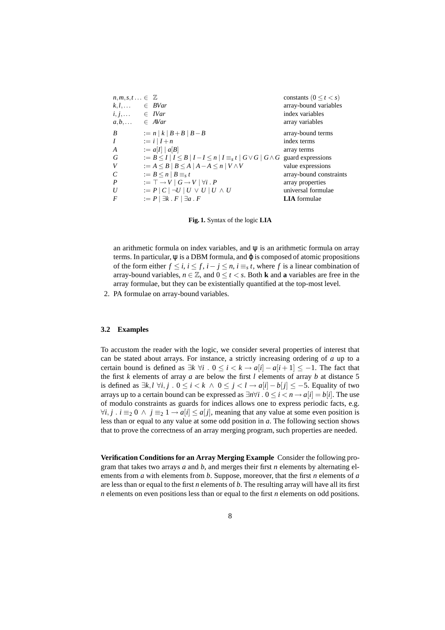```
n, m, s, t \ldots \in \mathbb{Z}<br>
k, l \ldots \in BVar constants (0 \le t < s)<br>
array-bound variable:
       k,l,... ∈ BVar array-bound variables
i, j, \ldots \in IVar index variables
a, b, \ldots \in AVar array variables
B := n | k | B + B | B - B array-bound terms
I := i | I + n index terms
A := a[I] | a[B] array terms
G := B \leq I | I \leq B | I - I \leq n | I \equiv_s t | G \vee G | G \wedge G guard expressions
V := A \leq B \mid B \leq A \mid A - A \leq n \mid V \wedge V value expressions
C := B \le n | B \equiv_s t array-bound constraints
P := \top \rightarrow V \mid G \rightarrow V \mid \forall i \cdot P array properties
U := P | C | \neg U | U \lor U | U \land U universal formulae
F := P | ∃k . F | ∃a . F LIA formulae
```
**Fig. 1.** Syntax of the logic **LIA**

an arithmetic formula on index variables, and  $\psi$  is an arithmetic formula on array terms. In particular,  $\psi$  is a DBM formula, and  $\varphi$  is composed of atomic propositions of the form either  $f \le i$ ,  $i \le f$ ,  $i - j \le n$ ,  $i \equiv_s t$ , where f is a linear combination of array-bound variables,  $n \in \mathbb{Z}$ , and  $0 \le t \le s$ . Both **k** and **a** variables are free in the array formulae, but they can be existentially quantified at the top-most level.

2. PA formulae on array-bound variables.

# **3.2 Examples**

To accustom the reader with the logic, we consider several properties of interest that can be stated about arrays. For instance, a strictly increasing ordering of *a* up to a certain bound is defined as  $\exists k \forall i$ .  $0 \le i < k \rightarrow a[i] - a[i+1] \le -1$ . The fact that the first *k* elements of array *a* are below the first *l* elements of array *b* at distance 5 *is defined as*  $\exists k, l \forall i, j$  .  $0 \le i < k \land 0 \le j < l \rightarrow a[i] - b[j] \le -5$ . Equality of two arrays up to a certain bound can be expressed as  $\exists n \forall i$  .  $0 \le i < n \rightarrow a[i] = b[i]$ . The use of modulo constraints as guards for indices allows one to express periodic facts, e.g.  $∀i, j$ .  $i \equiv_2 0 \land j \equiv_2 1 \rightarrow a[i] \leq a[j]$ , meaning that any value at some even position is less than or equal to any value at some odd position in *a*. The following section shows that to prove the correctness of an array merging program, such properties are needed.

**Verification Conditions for an Array Merging Example** Consider the following program that takes two arrays *a* and *b*, and merges their first *n* elements by alternating elements from *a* with elements from *b*. Suppose, moreover, that the first *n* elements of *a* are less than or equal to the first *n* elements of *b*. The resulting array will have all its first *n* elements on even positions less than or equal to the first *n* elements on odd positions.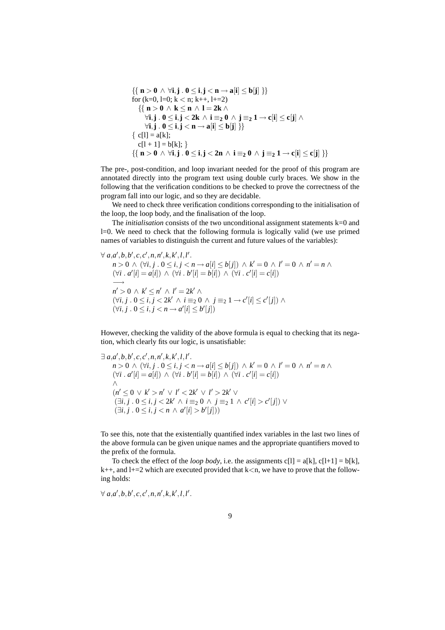$$
\{\n\{ \mathbf{n} > \mathbf{0} \land \forall \mathbf{i}, \mathbf{j} \cdot \mathbf{0} \leq \mathbf{i}, \mathbf{j} < \mathbf{n} \rightarrow \mathbf{a}[\mathbf{i}] \leq \mathbf{b}[\mathbf{j}] \n\}\n\}
$$
\n
$$
\text{for } (k=0, l=0; k < n; k++, l+=2)
$$
\n
$$
\{\n\{ \mathbf{n} > \mathbf{0} \land \mathbf{k} \leq \mathbf{n} \land \mathbf{l} = 2\mathbf{k} \land \forall \mathbf{i}, \mathbf{j} \cdot \mathbf{0} \leq \mathbf{i}, \mathbf{j} < 2\mathbf{k} \land \mathbf{i} =_2 \mathbf{0} \land \mathbf{j} =_2 \mathbf{1} \rightarrow \mathbf{c}[\mathbf{i}] \leq \mathbf{c}[\mathbf{j}] \land \forall \mathbf{i}, \mathbf{j} \cdot \mathbf{0} \leq \mathbf{i}, \mathbf{j} < \mathbf{n} \rightarrow \mathbf{a}[\mathbf{i}] \leq \mathbf{b}[\mathbf{j}] \n\}
$$
\n
$$
\{\n\mathbf{c}[l] = \mathbf{a}[k]; \quad c[l+1] = \mathbf{b}[k]; \quad \}
$$
\n
$$
\{\n\mathbf{n} > \mathbf{0} \land \forall \mathbf{i}, \mathbf{j} \cdot \mathbf{0} \leq \mathbf{i}, \mathbf{j} < 2\mathbf{n} \land \mathbf{i} =_2 \mathbf{0} \land \mathbf{j} =_2 \mathbf{1} \rightarrow \mathbf{c}[\mathbf{i}] \leq \mathbf{c}[\mathbf{j}] \n\}
$$

The pre-, post-condition, and loop invariant needed for the proof of this program are annotated directly into the program text using double curly braces. We show in the following that the verification conditions to be checked to prove the correctness of the program fall into our logic, and so they are decidable.

We need to check three verification conditions corresponding to the initialisation of the loop, the loop body, and the finalisation of the loop.

The *initialisation* consists of the two unconditional assignment statements k=0 and l=0. We need to check that the following formula is logically valid (we use primed names of variables to distinguish the current and future values of the variables):

$$
\forall a,a',b,b',c,c',n,n',k,k',l,l'.
$$
  
\n
$$
n > 0 \land (\forall i, j \quad 0 \le i, j < n \rightarrow a[i] \le b[j]) \land k' = 0 \land l' = 0 \land n' = n \land
$$
  
\n
$$
(\forall i \quad a'[i] = a[i]) \land (\forall i \quad b'[i] = b[i]) \land (\forall i \quad c'[i] = c[i])
$$
  
\n
$$
n' > 0 \land k' \le n' \land l' = 2k' \land
$$
  
\n
$$
(\forall i, j \quad 0 \le i, j < 2k' \land i \equiv_2 0 \land j \equiv_2 1 \rightarrow c'[i] \le c'[j]) \land
$$
  
\n
$$
(\forall i, j \quad 0 \le i, j < n \rightarrow a'[i] \le b'[j])
$$

However, checking the validity of the above formula is equal to checking that its negation, which clearly fits our logic, is unsatisfiable:

$$
\exists a,a',b,b',c,c',n,n',k,k',l,l'.
$$
\n
$$
n>0 \land (\forall i,j \quad 0 \le i,j < n \to a[i] \le b[j]) \land k' = 0 \land l' = 0 \land n' = n \land (\forall i \quad a'[i] = a[i]) \land (\forall i \quad b'[i] = b[i]) \land (\forall i \quad c'[i] = c[i])
$$
\n
$$
\land
$$
\n
$$
(n' \le 0 \lor k' > n' \lor l' < 2k' \lor l' > 2k' \lor \land j = 0 \land j = 1 \land c'[i] > c'[j]) \lor \exists i,j \quad 0 \le i,j < n \land a'[i] > b'[j]))
$$

To see this, note that the existentially quantified index variables in the last two lines of the above formula can be given unique names and the appropriate quantifiers moved to the prefix of the formula.

To check the effect of the *loop body*, i.e. the assignments  $c[1] = a[k]$ ,  $c[1+1] = b[k]$ ,  $k++$ , and  $l+=2$  which are executed provided that  $k<$ n, we have to prove that the following holds:

$$
\forall a,a',b,b',c,c',n,n',k,k',l,l'.
$$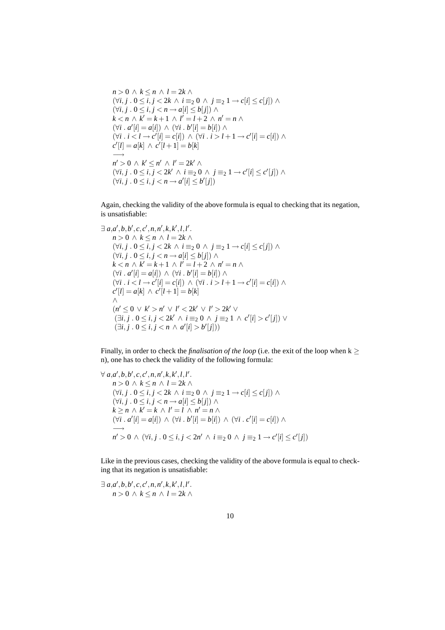$$
n > 0 \land k \leq n \land l = 2k \land
$$
  
\n
$$
(\forall i, j \quad 0 \leq i, j < 2k \land i \equiv_2 0 \land j \equiv_2 1 \rightarrow c[i] \leq c[j]) \land
$$
  
\n
$$
(\forall i, j \quad 0 \leq i, j < n \rightarrow a[i] \leq b[j]) \land
$$
  
\n
$$
k < n \land k' = k + 1 \land l' = l + 2 \land n' = n \land
$$
  
\n
$$
(\forall i \quad a'[i] = a[i]) \land (\forall i \quad b'[i] = b[i]) \land
$$
  
\n
$$
(\forall i \quad i < l \rightarrow c'[i] = c[i]) \land (\forall i \quad i > l + 1 \rightarrow c'[i] = c[i]) \land
$$
  
\n
$$
c'[l] = a[k] \land c'[l + 1] = b[k]
$$
  
\n
$$
n' > 0 \land k' \leq n' \land l' = 2k' \land
$$
  
\n
$$
(\forall i, j \quad 0 \leq i, j < 2k' \land i \equiv_2 0 \land j \equiv_2 1 \rightarrow c'[i] \leq c'[j]) \land
$$
  
\n
$$
(\forall i, j \quad 0 \leq i, j < n \rightarrow a'[i] \leq b'[j])
$$

Again, checking the validity of the above formula is equal to checking that its negation, is unsatisfiable:

$$
\exists a,a',b,b',c,c',n,n',k,k',l,l'.
$$
\n
$$
n > 0 \land k \leq n \land l = 2k \land
$$
\n
$$
(\forall i, j \quad 0 \leq i, j < 2k \land i \equiv_2 0 \land j \equiv_2 1 \rightarrow c[i] \leq c[j]) \land
$$
\n
$$
(\forall i, j \quad 0 \leq i, j < n \rightarrow a[i] \leq b[j]) \land
$$
\n
$$
k < n \land k' = k + 1 \land l' = l + 2 \land n' = n \land
$$
\n
$$
(\forall i \quad a'[i] = a[i]) \land (\forall i \quad b'[i] = b[i]) \land
$$
\n
$$
(\forall i \quad i < l \rightarrow c'[i] = c[i]) \land (\forall i \quad i > l + 1 \rightarrow c'[i] = c[i]) \land
$$
\n
$$
c'[l] = a[k] \land c'[l+1] = b[k]
$$
\n
$$
\land
$$
\n
$$
(n' \leq 0 \lor k' > n' \lor l' < 2k' \lor l' > 2k' \lor
$$
\n
$$
(\exists i, j \quad 0 \leq i, j < 2k' \land i \equiv_2 0 \land j \equiv_2 1 \land c'[i] > c'[j]) \lor
$$
\n
$$
(\exists i, j \quad 0 \leq i, j < n \land a'[i] > b'[j]))
$$

Finally, in order to check the *finalisation of the loop* (i.e. the exit of the loop when k ≥ n), one has to check the validity of the following formula:

$$
\forall a, a', b, b', c, c', n, n', k, k', l, l'.
$$
  
\n
$$
n > 0 \land k \le n \land l = 2k \land
$$
  
\n
$$
(\forall i, j \cdot 0 \le i, j < 2k \land i \equiv_2 0 \land j \equiv_2 1 \rightarrow c[i] \le c[j]) \land
$$
  
\n
$$
(\forall i, j \cdot 0 \le i, j < n \rightarrow a[i] \le b[j]) \land
$$
  
\n
$$
k \ge n \land k' = k \land l' = l \land n' = n \land
$$
  
\n
$$
(\forall i \cdot a'[i] = a[i]) \land (\forall i \cdot b'[i] = b[i]) \land (\forall i \cdot c'[i] = c[i]) \land
$$
  
\n
$$
n' > 0 \land (\forall i, j \cdot 0 \le i, j < 2n' \land i \equiv_2 0 \land j \equiv_2 1 \rightarrow c'[i] \le c'[j])
$$

Like in the previous cases, checking the validity of the above formula is equal to checking that its negation is unsatisfiable:

 $\exists a, a', b, b', c, c', n, n', k, k', l, l'.$ *n* > 0 ∧  $k$  ≤ *n* ∧  $l = 2k$  ∧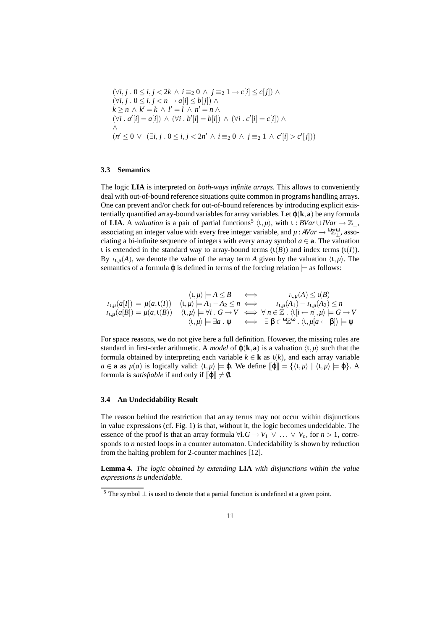$$
(\forall i, j \cdot 0 \le i, j < 2k \land i \equiv_2 0 \land j \equiv_2 1 \to c[i] \le c[j]) \land \n(\forall i, j \cdot 0 \le i, j < n \to a[i] \le b[j]) \land \nk \ge n \land k' = k \land l' = l \land n' = n \land \n(\forall i \cdot a'[i] = a[i]) \land (\forall i \cdot b'[i] = b[i]) \land (\forall i \cdot c'[i] = c[i]) \land \n\land \n(n' \le 0 \lor (\exists i, j \cdot 0 \le i, j < 2n' \land i \equiv_2 0 \land j \equiv_2 1 \land c'[i] > c'[j]))
$$

### **3.3 Semantics**

The logic **LIA** is interpreted on *both-ways infinite arrays*. This allows to conveniently deal with out-of-bound reference situations quite common in programs handling arrays. One can prevent and/or check for out-of-bound references by introducing explicit existentially quantified array-bound variables for array variables. Let  $\varphi(\mathbf{k}, \mathbf{a})$  be any formula of **LIA**. A *valuation* is a pair of partial functions<sup>5</sup>  $\langle \iota, \mu \rangle$ , with  $\iota : BVar \cup IVar \rightarrow \mathbb{Z}_{\perp}$ , associating an integer value with every free integer variable, and  $\mu$ :  $AVar \rightarrow {}^{\omega}\mathbb{Z}_{\perp}^{\omega}$ , associating a bi-infinite sequence of integers with every array symbol  $a \in \mathbf{a}$ . The valuation ι is extended in the standard way to array-bound terms (ι(*B*)) and index terms (ι(*I*)). By  $I_{1,u}(A)$ , we denote the value of the array term *A* given by the valuation  $\langle 1, \mu \rangle$ . The semantics of a formula  $\varphi$  is defined in terms of the forcing relation  $\models$  as follows:

$$
\langle \mathbf{t}, \mu \rangle \models A \leq B \iff \qquad \qquad \mathbf{t}_{\mathbf{t}, \mu}(A) \leq \mathbf{t}(B)
$$
\n
$$
\mathbf{t}_{\mathbf{t}, \mu}(a[I]) = \mu(a, \mathbf{t}(I)) \quad \langle \mathbf{t}, \mu \rangle \models A_1 - A_2 \leq n \iff \qquad \mathbf{t}_{\mathbf{t}, \mu}(A_1) - \mathbf{t}_{\mathbf{t}, \mu}(A_2) \leq n
$$
\n
$$
\mathbf{t}_{\mathbf{t}, \mu}(a[B]) = \mu(a, \mathbf{t}(B)) \quad \langle \mathbf{t}, \mu \rangle \models \forall i \quad G \to V \iff \forall n \in \mathbb{Z} \quad \langle \mathbf{t}[i \leftarrow n], \mu \rangle \models G \to V
$$
\n
$$
\langle \mathbf{t}, \mu \rangle \models \exists a \quad \Psi \iff \exists \beta \in \mathcal{C} \mathbb{Z}^{\omega} \quad \langle \mathbf{t}, \mu | a \leftarrow \beta \rbrace \rangle \models \Psi
$$

For space reasons, we do not give here a full definition. However, the missing rules are standard in first-order arithmetic. A *model* of  $\varphi(\mathbf{k}, \mathbf{a})$  is a valuation  $\langle \mathbf{t}, \mu \rangle$  such that the formula obtained by interpreting each variable  $k \in \mathbf{k}$  as  $\iota(k)$ , and each array variable  $a \in \mathbf{a}$  as  $\mu(a)$  is logically valid:  $\langle \mathbf{1}, \mu \rangle \models \varphi$ . We define  $\lbrack \lbrack \varphi \rbrack \rbrack = \{\langle \mathbf{1}, \mu \rangle \mid \langle \mathbf{1}, \mu \rangle \models \varphi\}$ . A formula is *satisfiable* if and only if  $\llbracket \phi \rrbracket \neq \emptyset$ .

#### **3.4 An Undecidability Result**

The reason behind the restriction that array terms may not occur within disjunctions in value expressions (cf. Fig. 1) is that, without it, the logic becomes undecidable. The essence of the proof is that an array formula  $\forall i. G \rightarrow V_1 \lor ... \lor V_n$ , for  $n > 1$ , corresponds to *n* nested loops in a counter automaton. Undecidability is shown by reduction from the halting problem for 2-counter machines [12].

**Lemma 4.** *The logic obtained by extending* **LIA** *with disjunctions within the value expressions is undecidable.*

<sup>&</sup>lt;sup>5</sup> The symbol ⊥ is used to denote that a partial function is undefined at a given point.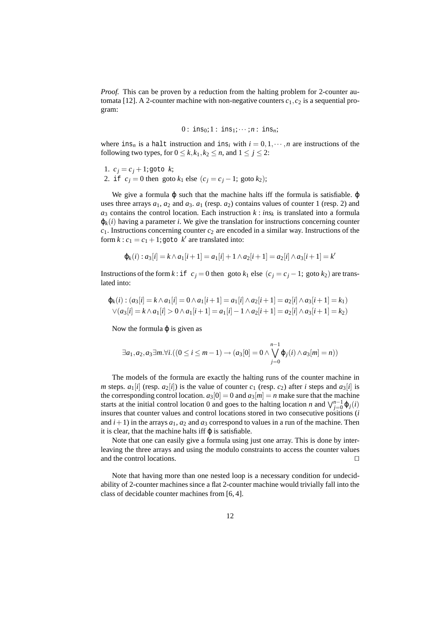*Proof.* This can be proven by a reduction from the halting problem for 2-counter automata [12]. A 2-counter machine with non-negative counters  $c_1$ ,  $c_2$  is a sequential program:

$$
0: ins_0; 1: ins_1; \cdots; n: ins_n;
$$

where ins<sub>n</sub> is a halt instruction and ins<sub>i</sub> with  $i = 0, 1, \dots, n$  are instructions of the following two types, for  $0 \le k, k_1, k_2 \le n$ , and  $1 \le j \le 2$ :

- 1.  $c_i = c_i + 1$ ; goto *k*;
- 2. if  $c_j = 0$  then goto  $k_1$  else  $(c_j = c_j 1;$  goto  $k_2)$ ;

We give a formula  $\varphi$  such that the machine halts iff the formula is satisfiable.  $\varphi$ uses three arrays  $a_1$ ,  $a_2$  and  $a_3$ .  $a_1$  (resp.  $a_2$ ) contains values of counter 1 (resp. 2) and  $a_3$  contains the control location. Each instruction  $k : ins_k$  is translated into a formula  $\varphi_k(i)$  having a parameter *i*. We give the translation for instructions concerning counter *c*1. Instructions concerning counter *c*<sup>2</sup> are encoded in a similar way. Instructions of the form  $k: c_1 = c_1 + 1$ ; goto  $k'$  are translated into:

$$
\varphi_k(i) : a_3[i] = k \wedge a_1[i+1] = a_1[i] + 1 \wedge a_2[i+1] = a_2[i] \wedge a_3[i+1] = k'
$$

Instructions of the form  $k$  : if  $c_j = 0$  then goto  $k_1$  else  $(c_j = c_j - 1)$ ; goto  $k_2$ ) are translated into:

$$
\varphi_k(i) : (a_3[i] = k \wedge a_1[i] = 0 \wedge a_1[i+1] = a_1[i] \wedge a_2[i+1] = a_2[i] \wedge a_3[i+1] = k_1)
$$
  

$$
\vee (a_3[i] = k \wedge a_1[i] > 0 \wedge a_1[i+1] = a_1[i] - 1 \wedge a_2[i+1] = a_2[i] \wedge a_3[i+1] = k_2)
$$

Now the formula  $\varphi$  is given as

$$
\exists a_1, a_2, a_3 \exists m. \forall i. ((0 \leq i \leq m-1) \rightarrow (a_3[0] = 0 \land \bigvee_{j=0}^{n-1} \varphi_j(i) \land a_3[m] = n))
$$

The models of the formula are exactly the halting runs of the counter machine in *m* steps.  $a_1[i]$  (resp.  $a_2[i]$ ) is the value of counter  $c_1$  (resp.  $c_2$ ) after *i* steps and  $a_3[i]$  is the corresponding control location.  $a_3[0] = 0$  and  $a_3[m] = n$  make sure that the machine starts at the initial control location 0 and goes to the halting location *n* and  $\bigvee_{j=0}^{n-1} \varphi_j(i)$ insures that counter values and control locations stored in two consecutive positions (*i* and  $i+1$ ) in the arrays  $a_1$ ,  $a_2$  and  $a_3$  correspond to values in a run of the machine. Then it is clear, that the machine halts iff  $\varphi$  is satisfiable.

Note that one can easily give a formula using just one array. This is done by interleaving the three arrays and using the modulo constraints to access the counter values and the control locations.  $\Box$ 

Note that having more than one nested loop is a necessary condition for undecidability of 2-counter machines since a flat 2-counter machine would trivially fall into the class of decidable counter machines from [6, 4].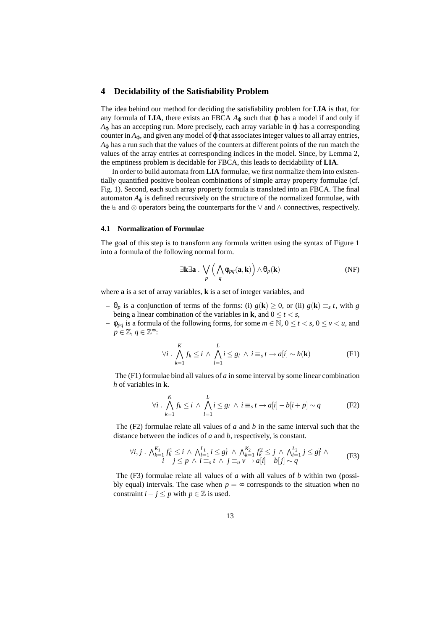### **4 Decidability of the Satisfiability Problem**

The idea behind our method for deciding the satisfiability problem for **LIA** is that, for any formula of **LIA**, there exists an FBCA  $A_{\varphi}$  such that  $\varphi$  has a model if and only if  $A_{\phi}$  has an accepting run. More precisely, each array variable in  $\phi$  has a corresponding counter in  $A_{\omega}$ , and given any model of  $\omega$  that associates integer values to all array entries,  $A_{\omega}$  has a run such that the values of the counters at different points of the run match the values of the array entries at corresponding indices in the model. Since, by Lemma 2, the emptiness problem is decidable for FBCA, this leads to decidability of **LIA**.

In order to build automata from **LIA** formulae, we first normalize them into existentially quantified positive boolean combinations of simple array property formulae (cf. Fig. 1). Second, each such array property formula is translated into an FBCA. The final automaton  $A_{\varphi}$  is defined recursively on the structure of the normalized formulae, with the  $\forall$  and  $\otimes$  operators being the counterparts for the  $\lor$  and  $\land$  connectives, respectively.

#### **4.1 Normalization of Formulae**

The goal of this step is to transform any formula written using the syntax of Figure 1 into a formula of the following normal form.

$$
\exists \mathbf{k} \exists \mathbf{a} \cdot \bigvee_{p} \left( \bigwedge_{q} \Phi_{pq}(\mathbf{a}, \mathbf{k}) \right) \wedge \Theta_{p}(\mathbf{k})
$$
 (NF)

where **a** is a set of array variables, **k** is a set of integer variables, and

- **–** θ*<sup>p</sup>* is a conjunction of terms of the forms: (i) *g*(**k**) ≥ 0, or (ii) *g*(**k**) ≡*<sup>s</sup> t*, with *g* being a linear combination of the variables in **k**, and  $0 \le t < s$ ,
- $-$  φ<sub>*pq*</sub> is a formula of the following forms, for some *m* ∈ N, 0 ≤ *t* < *s*, 0 ≤ *v* < *u*, and *p* ∈ Z, *q* ∈ Z ∞:

$$
\forall i \cdot \bigwedge_{k=1}^{K} f_k \leq i \wedge \bigwedge_{l=1}^{L} i \leq g_l \wedge i \equiv_s t \rightarrow a[i] \sim h(\mathbf{k})
$$
 (F1)

The (F1) formulae bind all values of *a* in some interval by some linear combination *h* of variables in **k**.

$$
\forall i \cdot \bigwedge_{k=1}^{K} f_k \leq i \wedge \bigwedge_{l=1}^{L} i \leq g_l \wedge i \equiv_s t \rightarrow a[i] - b[i+p] \sim q \tag{F2}
$$

The  $(F2)$  formulae relate all values of *a* and *b* in the same interval such that the distance between the indices of *a* and *b*, respectively, is constant.

$$
\forall i, j \cdot \bigwedge_{k=1}^{K_1} f_k^1 \leq i \wedge \bigwedge_{l=1}^{L_1} i \leq g_l^1 \wedge \bigwedge_{k=1}^{K_2} f_k^2 \leq j \wedge \bigwedge_{l=1}^{L_2} j \leq g_l^2 \wedge
$$
  
\n
$$
i - j \leq p \wedge i \equiv_s t \wedge j \equiv_u v \rightarrow a[i] - b[j] \sim q
$$
 (F3)

The (F3) formulae relate all values of *a* with all values of *b* within two (possibly equal) intervals. The case when  $p = \infty$  corresponds to the situation when no constraint  $i - j \leq p$  with  $p \in \mathbb{Z}$  is used.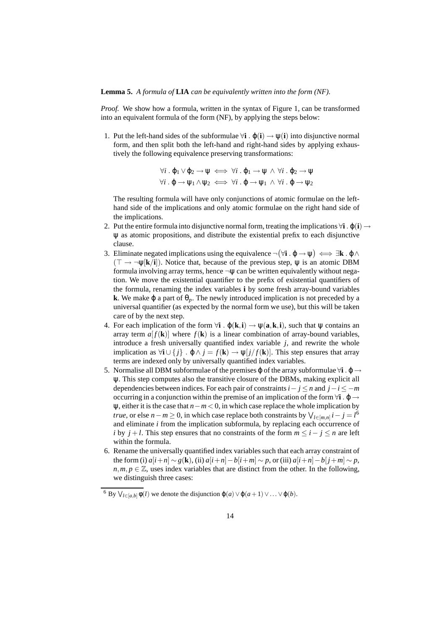**Lemma 5.** *A formula of* **LIA** *can be equivalently written into the form (NF).*

*Proof.* We show how a formula, written in the syntax of Figure 1, can be transformed into an equivalent formula of the form (NF), by applying the steps below:

1. Put the left-hand sides of the subformulae ∀**i** . ϕ(**i**) → ψ(**i**) into disjunctive normal form, and then split both the left-hand and right-hand sides by applying exhaustively the following equivalence preserving transformations:

$$
\forall i. \varphi_1 \lor \varphi_2 \to \psi \iff \forall i. \varphi_1 \to \psi \land \forall i. \varphi_2 \to \psi
$$
  

$$
\forall i. \varphi \to \psi_1 \land \psi_2 \iff \forall i. \varphi \to \psi_1 \land \forall i. \varphi \to \psi_2
$$

The resulting formula will have only conjunctions of atomic formulae on the lefthand side of the implications and only atomic formulae on the right hand side of the implications.

- 2. Put the entire formula into disjunctive normal form, treating the implications  $\forall i$  .  $\varphi(i) \rightarrow$ ψ as atomic propositions, and distribute the existential prefix to each disjunctive clause.
- 3. Eliminate negated implications using the equivalence  $\neg(\forall i \cdot \phi \rightarrow \psi) \iff \exists k \cdot \phi \land \phi$  $(\top \rightarrow \neg \psi[k/i])$ . Notice that, because of the previous step,  $\psi$  is an atomic DBM formula involving array terms, hence  $\neg \psi$  can be written equivalently without negation. We move the existential quantifier to the prefix of existential quantifiers of the formula, renaming the index variables **i** by some fresh array-bound variables **k**. We make  $\varphi$  a part of  $\theta_p$ . The newly introduced implication is not preceded by a universal quantifier (as expected by the normal form we use), but this will be taken care of by the next step.
- 4. For each implication of the form  $\forall i$  .  $\phi(\mathbf{k}, i) \rightarrow \psi(\mathbf{a}, \mathbf{k}, i)$ , such that  $\psi$  contains an array term  $a[f(\mathbf{k})]$  where  $f(\mathbf{k})$  is a linear combination of array-bound variables, introduce a fresh universally quantified index variable *j*, and rewrite the whole implication as  $\forall i \cup \{j\}$ .  $\varphi \wedge j = f(\mathbf{k}) \rightarrow \psi[j/f(\mathbf{k})]$ . This step ensures that array terms are indexed only by universally quantified index variables.
- 5. Normalise all DBM subformulae of the premises  $\varphi$  of the array subformulae  $\forall i \cdot \varphi \rightarrow$ ψ. This step computes also the transitive closure of the DBMs, making explicit all dependencies between indices. For each pair of constraints  $i - j \le n$  and  $j - i \le -m$ occurring in a conjunction within the premise of an implication of the form  $\forall i \cdot \varphi \rightarrow$ ψ, either it is the case that *n*−*m* < 0, in which case replace the whole implication by *true*, or else *n*−*m*  $\ge$  0, in which case replace both constraints by  $\bigvee_{l \in [m,n]} i - j = l^6$ and eliminate *i* from the implication subformula, by replacing each occurrence of *i* by *j* + *l*. This step ensures that no constraints of the form  $m \le i - j \le n$  are left within the formula.
- 6. Rename the universally quantified index variables such that each array constraint of the form (i)  $a[i+n] \sim g(\mathbf{k})$ , (ii)  $a[i+n]-b[i+m] \sim p$ , or (iii)  $a[i+n]-b[j+m] \sim p$ ,  $n, m, p \in \mathbb{Z}$ , uses index variables that are distinct from the other. In the following, we distinguish three cases:

<sup>&</sup>lt;sup>6</sup> By  $\bigvee_{l \in [a,b]} \phi(l)$  we denote the disjunction  $\phi(a) \vee \phi(a+1) \vee \dots \vee \phi(b)$ .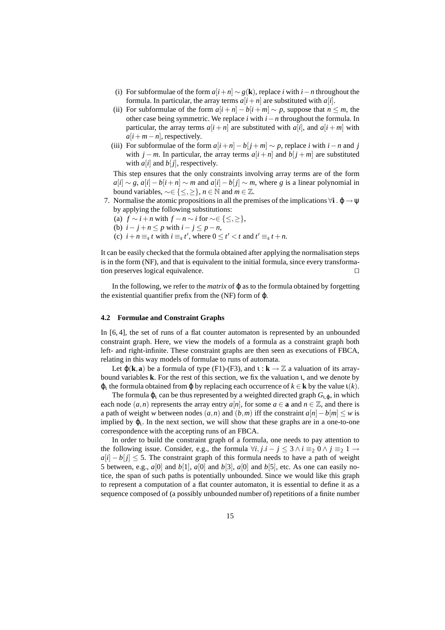- (i) For subformulae of the form  $a[i+n] \sim g(\mathbf{k})$ , replace *i* with  $i n$  throughout the formula. In particular, the array terms  $a[i+n]$  are substituted with  $a[i]$ .
- (ii) For subformulae of the form  $a[i + n] b[i + m] \sim p$ , suppose that  $n \leq m$ , the other case being symmetric. We replace *i* with *i*−*n* throughout the formula. In particular, the array terms  $a[i + n]$  are substituted with  $a[i]$ , and  $a[i + m]$  with  $a[i+m-n]$ , respectively.
- (iii) For subformulae of the form  $a[i+n]-b[j+m] \sim p$ , replace *i* with  $i-n$  and *j* with  $j - m$ . In particular, the array terms  $a[i + n]$  and  $b[j + m]$  are substituted with  $a[i]$  and  $b[j]$ , respectively.

This step ensures that the only constraints involving array terms are of the form  $a[i] \sim g$ ,  $a[i] - b[i + n] \sim m$  and  $a[i] - b[j] \sim m$ , where *g* is a linear polynomial in bound variables,  $\sim \in \{ \leq, \geq \}, n \in \mathbb{N}$  and  $m \in \mathbb{Z}$ .

- 7. Normalise the atomic propositions in all the premises of the implications  $\forall i \cdot \varphi \rightarrow \psi$ by applying the following substitutions:
	- (a)  $f \sim i + n$  with  $f n \sim i$  for ~∈  $\{\leq, \geq\},$
	- (b)  $i j + n \leq p$  with  $i j \leq p n$ ,
	- (c)  $i + n \equiv_s t$  with  $i \equiv_s t'$ , where  $0 \le t' < t$  and  $t' \equiv_s t + n$ .

It can be easily checked that the formula obtained after applying the normalisation steps is in the form (NF), and that is equivalent to the initial formula, since every transformation preserves logical equivalence.

In the following, we refer to the *matrix* of  $\varphi$  as to the formula obtained by forgetting the existential quantifier prefix from the (NF) form of ϕ.

### **4.2 Formulae and Constraint Graphs**

In [6, 4], the set of runs of a flat counter automaton is represented by an unbounded constraint graph. Here, we view the models of a formula as a constraint graph both left- and right-infinite. These constraint graphs are then seen as executions of FBCA, relating in this way models of formulae to runs of automata.

Let  $\varphi(\mathbf{k}, \mathbf{a})$  be a formula of type (F1)-(F3), and  $\iota : \mathbf{k} \to \mathbb{Z}$  a valuation of its arraybound variables **k**. For the rest of this section, we fix the valuation ι, and we denote by  $\varphi_t$  the formula obtained from  $\varphi$  by replacing each occurrence of  $k \in \mathbf{k}$  by the value  $\iota(k)$ .

The formula  $\varphi_1$  can be thus represented by a weighted directed graph  $G_{1,\varphi}$ , in which each node  $(a, n)$  represents the array entry  $a[n]$ , for some  $a \in \mathbf{a}$  and  $n \in \mathbb{Z}$ , and there is a path of weight *w* between nodes  $(a, n)$  and  $(b, m)$  iff the constraint  $a[n] - b[m] \leq w$  is implied by  $\varphi_t$ . In the next section, we will show that these graphs are in a one-to-one correspondence with the accepting runs of an FBCA.

In order to build the constraint graph of a formula, one needs to pay attention to the following issue. Consider, e.g., the formula  $\forall i, j.i - j \leq 3 \land i \equiv_2 0 \land j \equiv_2 1 \rightarrow$  $a[i] - b[j] \leq 5$ . The constraint graph of this formula needs to have a path of weight 5 between, e.g.,  $a[0]$  and  $b[1]$ ,  $a[0]$  and  $b[3]$ ,  $a[0]$  and  $b[5]$ , etc. As one can easily notice, the span of such paths is potentially unbounded. Since we would like this graph to represent a computation of a flat counter automaton, it is essential to define it as a sequence composed of (a possibly unbounded number of) repetitions of a finite number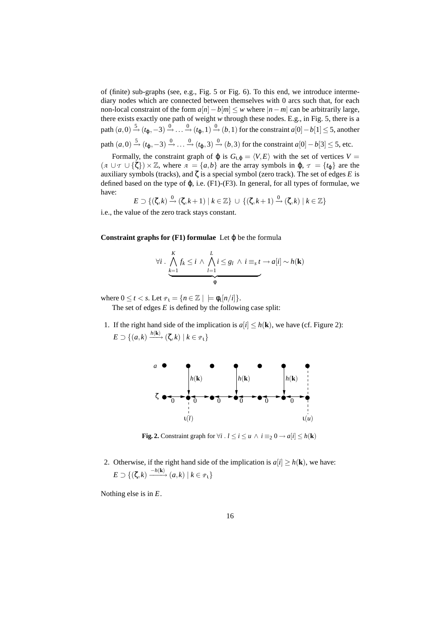of (finite) sub-graphs (see, e.g., Fig. 5 or Fig. 6). To this end, we introduce intermediary nodes which are connected between themselves with 0 arcs such that, for each non-local constraint of the form  $a[n] - b[m] \leq w$  where  $|n - m|$  can be arbitrarily large, there exists exactly one path of weight *w* through these nodes. E.g., in Fig. 5, there is a path  $(a,0) \stackrel{5}{\rightarrow} (t_{\phi}, -3) \stackrel{0}{\rightarrow} \ldots \stackrel{0}{\rightarrow} (t_{\phi}, 1) \stackrel{0}{\rightarrow} (b, 1)$  for the constraint  $a[0] - b[1] \le 5$ , another path  $(a, 0) \stackrel{5}{\rightarrow} (t_{\varphi}, -3) \stackrel{0}{\rightarrow} \ldots \stackrel{0}{\rightarrow} (t_{\varphi}, 3) \stackrel{0}{\rightarrow} (b, 3)$  for the constraint  $a[0] - b[3] \le 5$ , etc.

Formally, the constraint graph of  $\varphi$  is  $G_{t,\varphi} = \langle V, E \rangle$  with the set of vertices  $V =$  $(A \cup \tau \cup \{\zeta\}) \times \mathbb{Z}$ , where  $A = \{a,b\}$  are the array symbols in  $\varphi$ ,  $\tau = \{t_{\varphi}\}\$  are the auxiliary symbols (tracks), and ζ is a special symbol (zero track). The set of edges *E* is defined based on the type of ϕ, i.e. (F1)-(F3). In general, for all types of formulae, we have:

$$
E \supset \{(\zeta, k) \xrightarrow{0} (\zeta, k+1) \mid k \in \mathbb{Z}\} \cup \{(\zeta, k+1) \xrightarrow{0} (\zeta, k) \mid k \in \mathbb{Z}\}\
$$

i.e., the value of the zero track stays constant.

**Constraint graphs for**  $(F1)$  **formulae** Let  $\varphi$  be the formula

$$
\forall i \cdot \bigwedge_{k=1}^{K} f_k \leq i \wedge \bigwedge_{l=1}^{L} i \leq g_l \wedge i \equiv_s t \rightarrow a[i] \sim h(\mathbf{k})
$$

where  $0 \le t < s$ . Let  $\mathbb{P}_1 = \{ n \in \mathbb{Z} \mid \models \phi_t[n/i] \}.$ 

The set of edges *E* is defined by the following case split:

1. If the right hand side of the implication is  $a[i] \leq h(\mathbf{k})$ , we have (cf. Figure 2):  $E \supset \{(a,k) \xrightarrow{h(\mathbf{k})} (\zeta, k) \mid k \in \mathcal{P}_1\}$ 



**Fig. 2.** Constraint graph for  $\forall i$  .  $l \le i \le u \land i \equiv_2 0 \rightarrow a[i] \le h(\mathbf{k})$ 

2. Otherwise, if the right hand side of the implication is  $a[i] \ge h(\mathbf{k})$ , we have:  $E \supset \{(\zeta, k) \xrightarrow{-h(\mathbf{k})} (a, k) \mid k \in \mathcal{P}_1\}$ 

Nothing else is in *E*.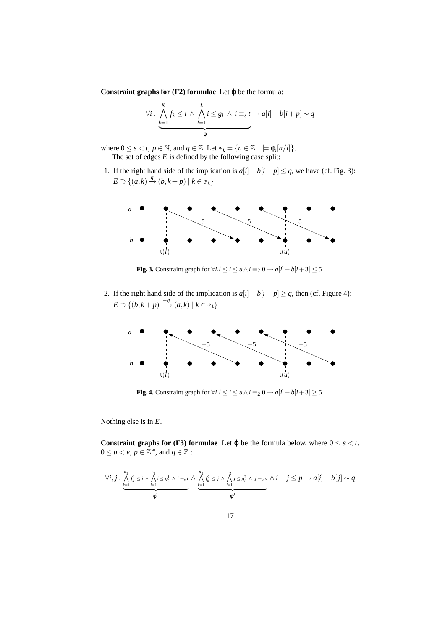**Constraint graphs for**  $(F2)$  **formulae** Let  $\varphi$  be the formula:

$$
\forall i \cdot \bigwedge_{k=1}^{K} f_k \leq i \wedge \bigwedge_{l=1}^{L} i \leq g_l \wedge i \equiv_s t \rightarrow a[i] - b[i+p] \sim q
$$

where  $0 \le s < t$ ,  $p \in \mathbb{N}$ , and  $q \in \mathbb{Z}$ . Let  $\mathbb{P}_1 = \{ n \in \mathbb{Z} \mid \models \phi_1[n/i] \}.$ The set of edges *E* is defined by the following case split:

1. If the right hand side of the implication is  $a[i] - b[i + p] \leq q$ , we have (cf. Fig. 3):  $E \supset \{ (a,k) \stackrel{q}{\rightarrow} (b,k+p) \mid k \in \mathbb{F}_1 \}$ 



**Fig. 3.** Constraint graph for  $\forall i. l \leq i \leq u \land i \equiv_2 0 \rightarrow a[i] - b[i+3] \leq 5$ 

2. If the right hand side of the implication is  $a[i] - b[i + p] \ge q$ , then (cf. Figure 4):  $E \supset \{(b, k+p) \stackrel{-q}{\longrightarrow} (a,k) \mid k \in \mathcal{P}_1\}$ 



**Fig. 4.** Constraint graph for  $\forall i. l \leq i \leq u \land i \equiv_2 0 \rightarrow a[i] - b[i+3] \geq 5$ 

Nothing else is in *E*.

**Constraint graphs for (F3) formulae** Let  $\varphi$  be the formula below, where  $0 \le s < t$ ,  $0 \le u < v, p \in \mathbb{Z}^{\infty}$ , and  $q \in \mathbb{Z}$ :

$$
\forall i, j \cdot \underbrace{\bigwedge_{k=1}^{K_1} f_k^1 \leq i \wedge \bigwedge_{l=1}^{L_1} i \leq g_l^1 \wedge i \equiv_s t} \wedge \underbrace{\bigwedge_{k=1}^{K_2} f_k^2 \leq j \wedge \bigwedge_{l=1}^{L_2} j \leq g_l^2 \wedge j \equiv_u v}^{L_2} \wedge i - j \leq p \rightarrow a[i] - b[j] \sim q
$$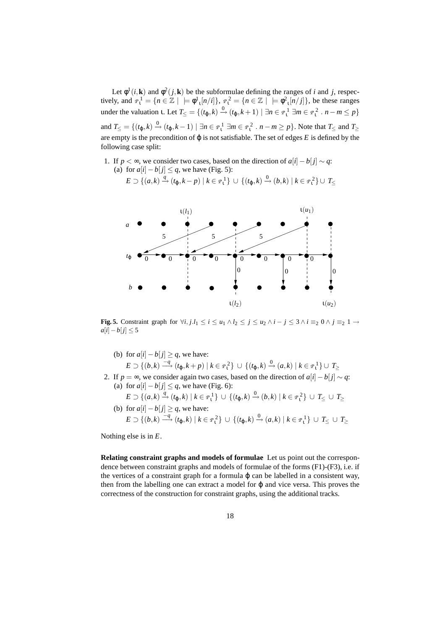Let  $\phi^1(i, \mathbf{k})$  and  $\phi^2(j, \mathbf{k})$  be the subformulae defining the ranges of *i* and *j*, respectively, and  $\varphi_1^1 = \{ n \in \mathbb{Z} \mid \varphi_1^1[n/i] \}, \varphi_1^2 = \{ n \in \mathbb{Z} \mid \varphi_1^2[n/j] \}$ , be these ranges under the valuation **1**. Let  $T_{\leq} = \{(t_{\varphi}, k) \stackrel{0}{\rightarrow} (t_{\varphi}, k+1) \mid \exists n \in \mathbb{P}^1_1 \exists m \in \mathbb{P}^2_1 : n-m \leq p\}$ and  $T \leq \left\{ (t_{\varphi}, k) \stackrel{0}{\rightarrow} (t_{\varphi}, k - 1) \mid \exists n \in \mathbb{P}^1_1 \exists m \in \mathbb{P}^2_1 : n - m \geq p \right\}$ . Note that  $T \leq$  and  $T \geq$ are empty is the precondition of  $\varphi$  is not satisfiable. The set of edges *E* is defined by the following case split:

1. If *p* < ∞, we consider two cases, based on the direction of  $a[i] - b[i] \sim q$ : (a) for  $a[i] - b[j] \leq q$ , we have (Fig. 5):

$$
E \supset \{(a,k) \xrightarrow{q} (t_{\varphi},k-p) \mid k \in \mathbb{P}_{1}^{1}\} \cup \{(t_{\varphi},k) \xrightarrow{0} (b,k) \mid k \in \mathbb{P}_{1}^{2}\} \cup T_{\leq}
$$



**Fig. 5.** Constraint graph for  $\forall i, j, l_1 \leq i \leq u_1 \land l_2 \leq j \leq u_2 \land i - j \leq 3 \land i \equiv_2 0 \land j \equiv_2 1 \rightarrow$  $a[i]-b[j]$  ≤ 5

- (b) for  $a[i] b[j] \geq q$ , we have:  $E \supset \{(b,k) \stackrel{-q}{\longrightarrow} (t_{\phi},k+p) \mid k \in \mathbb{P}^2_{1}\} \cup \{(t_{\phi},k) \stackrel{0}{\longrightarrow} (a,k) \mid k \in \mathbb{P}^1_{1}\} \cup T_{\geq 1}$
- 2. If  $p = \infty$ , we consider again two cases, based on the direction of  $a[i] b[j] \sim q$ : (a) for  $a[i] - b[j] \leq q$ , we have (Fig. 6):
	- $E \supset \{(a,k) \stackrel{q}{\to} (t_{\varphi},k) \mid k \in \mathbb{F}_1^1\} \cup \{(t_{\varphi},k) \stackrel{0}{\to} (b,k) \mid k \in \mathbb{F}_1^2\} \cup T_{\leq} \cup T_{\geq}$ (b) for  $a[i] - b[j] \geq q$ , we have:
	- $E \supset \{(b,k) \stackrel{-q}{\longrightarrow} (t_{\varphi},k) \mid k \in \mathbb{F}_1^2\} \cup \{(t_{\varphi},k) \stackrel{0}{\longrightarrow} (a,k) \mid k \in \mathbb{F}_1^1\} \cup T_{\leq} \cup T_{\geq}$

Nothing else is in *E*.

**Relating constraint graphs and models of formulae** Let us point out the correspondence between constraint graphs and models of formulae of the forms (F1)-(F3), i.e. if the vertices of a constraint graph for a formula  $\varphi$  can be labelled in a consistent way, then from the labelling one can extract a model for  $\varphi$  and vice versa. This proves the correctness of the construction for constraint graphs, using the additional tracks.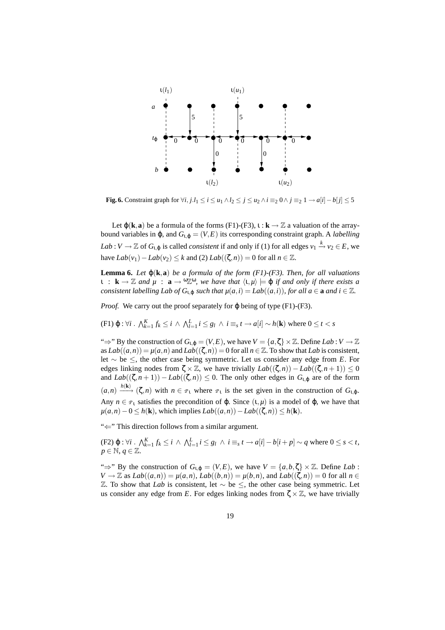

**Fig. 6.** Constraint graph for  $\forall i, j, l_1 \leq i \leq u_1 \land l_2 \leq j \leq u_2 \land i \equiv_2 0 \land j \equiv_2 1 \rightarrow a[i] - b[j] \leq 5$ 

Let  $\varphi(\mathbf{k}, \mathbf{a})$  be a formula of the forms (F1)-(F3),  $\iota : \mathbf{k} \to \mathbb{Z}$  a valuation of the arraybound variables in φ, and  $G$ <sub>ι,φ</sub> = (*V*,*E*) its corresponding constraint graph. A *labelling Lab* : *V*  $\to \mathbb{Z}$  of  $G_{1,\varphi}$  is called *consistent* if and only if (1) for all edges  $v_1 \xrightarrow{k} v_2 \in E$ , we have  $Lab(v_1) - Lab(v_2) ≤ k$  and (2)  $Lab((\zeta,n)) = 0$  for all  $n ∈ \mathbb{Z}$ .

**Lemma 6.** *Let*  $\varphi(\mathbf{k}, \mathbf{a})$  *be a formula of the form (F1)-(F3). Then, for all valuations*  $\mathfrak{u}$  :  $\mathbf{k} \to \mathbb{Z}$  and  $\mu$  :  $\mathbf{a} \to {}^{\omega}\mathbb{Z}^{\omega}$ , we have that  $\langle \mathfrak{u}, \mu \rangle \models \varphi$  if and only if there exists a *consistent labelling Lab of*  $G_{1,0}$  *such that*  $\mu(a,i) = Lab((a,i))$ *, for all a*  $\in$  **a** *and*  $i \in \mathbb{Z}$ *.* 

*Proof.* We carry out the proof separately for φ being of type (F1)-(F3).

 $(K+1)$   $\varphi : \forall i$ .  $\bigwedge_{k=1}^{K} f_k \leq i \wedge \bigwedge_{l=1}^{L} i \leq g_l \wedge i \equiv_s t \rightarrow a[i] \sim h(\mathbf{k})$  where  $0 \leq t < s$ 

" $\Rightarrow$ " By the construction of  $G_{L, \phi} = (V, E)$ , we have  $V = \{a, \zeta\} \times \mathbb{Z}$ . Define *Lab* :  $V \to \mathbb{Z}$ as  $Lab((a, n)) = \mu(a, n)$  and  $Lab((\zeta, n)) = 0$  for all  $n \in \mathbb{Z}$ . To show that *Lab* is consistent, let ∼ be ≤, the other case being symmetric. Let us consider any edge from *E*. For edges linking nodes from  $\zeta \times \mathbb{Z}$ , we have trivially  $Lab((\zeta,n)) - Lab((\zeta,n+1)) \leq 0$ and  $Lab((\zeta,n+1)) - Lab((\zeta,n)) \leq 0$ . The only other edges in  $G_{1,\phi}$  are of the form  $(a, n) \xrightarrow{h(\mathbf{k})} (\zeta, n)$  with  $n \in \mathcal{P}_1$  where  $\mathcal{P}_1$  is the set given in the construction of  $G_{1,\varphi}$ . Any  $n \in \mathcal{P}_1$  satisfies the precondition of  $\varphi$ . Since  $(1, \mu)$  is a model of  $\varphi$ , we have that  $\mu(a,n) - 0 \leq h(\mathbf{k})$ , which implies  $Lab((a,n)) - Lab((\zeta,n)) \leq h(\mathbf{k})$ .

"⇐" This direction follows from a similar argument.

(F2)  $\varphi : \forall i$ .  $\bigwedge_{k=1}^{K} f_k \leq i \bigwedge_{l=1}^{L} i \leq g_l \bigwedge i \equiv_s t \rightarrow a[i] - b[i+p] \sim q$  where  $0 \leq s < t$ ,  $p \in \mathbb{N}, q \in \mathbb{Z}$ .

"⇒" By the construction of  $G_{1,\phi} = (V, E)$ , we have  $V = \{a, b, \zeta\} \times \mathbb{Z}$ . Define *Lab*:  $V \to \mathbb{Z}$  as  $Lab((a,n)) = \mu(a,n)$ ,  $Lab((b,n)) = \mu(b,n)$ , and  $Lab((\zeta,n)) = 0$  for all  $n \in \mathbb{Z}$  $\mathbb{Z}$ . To show that *Lab* is consistent, let  $\sim$  be  $\leq$ , the other case being symmetric. Let us consider any edge from *E*. For edges linking nodes from  $\zeta \times \mathbb{Z}$ , we have trivially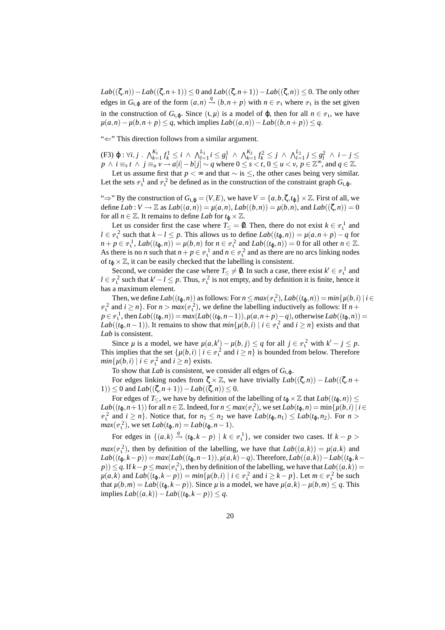*Lab*((ζ,*n*)) − *Lab*((ζ,*n*+1)) ≤ 0 and *Lab*((ζ,*n*+1)) − *Lab*((ζ,*n*)) ≤ 0. The only other edges in  $G_{t,\varphi}$  are of the form  $(a,n) \stackrel{q}{\rightarrow} (b,n+p)$  with  $n \in \mathcal{P}_1$  where  $\mathcal{P}_1$  is the set given in the construction of  $G_{1,\varphi}$ . Since  $(1,\mu)$  is a model of  $\varphi$ , then for all  $n \in \varphi_1$ , we have *µ*(*a*,*n*) − *µ*(*b*,*n*+ *p*) ≤ *q*, which implies  $Lab((a,n)) - Lab((b,n+p)) ≤ q$ .

"⇐" This direction follows from a similar argument.

(F3)  $\varphi : \forall i, j$   $\land$   $\bigwedge_{k=1}^{K_1} f_k^1 \leq i \land \bigwedge_{l=1}^{L_1} i \leq g_l^1 \land \bigwedge_{k=1}^{K_2} f_k^2 \leq j \land \bigwedge_{l=1}^{L_2} j \leq g_l^2 \land i - j \leq$  $p \wedge i \equiv_s t \wedge j \equiv_u v \rightarrow a[i] - b[j] \sim q$  where  $0 \le s < t, 0 \le u < v, p \in \mathbb{Z}^{\infty}$ , and  $q \in \mathbb{Z}$ .

Let us assume first that *p* < ∞ and that  $\sim$  is  $\leq$ , the other cases being very similar. Let the sets  $\varphi_1^1$  and  $\varphi_1^2$  be defined as in the construction of the constraint graph  $G_{1,\varphi}$ .

" $\Rightarrow$ " By the construction of  $G_{1,\phi} = (V, E)$ , we have  $V = \{a, b, \zeta, t_{\phi}\} \times \mathbb{Z}$ . First of all, we define  $Lab: V \to \mathbb{Z}$  as  $Lab((a,n)) = \mu(a,n)$ ,  $Lab((b,n)) = \mu(b,n)$ , and  $Lab((\zeta,n)) = 0$ for all  $n \in \mathbb{Z}$ . It remains to define *Lab* for  $t_0 \times \mathbb{Z}$ .

Let us consider first the case where  $T \leq 0$ . Then, there do not exist  $k \in \mathbb{P}^1$  and  $l \in \mathbb{P}^2$  such that  $k - l \leq p$ . This allows us to define  $Lab((t_{\varphi}, n)) = \mu(a, n + p) - q$  for  $n + p \in \mathbb{P}^1$ ,  $Lab((t_\varphi, n)) = \mu(b, n)$  for  $n \in \mathbb{P}^2$  and  $Lab((t_\varphi, n)) = 0$  for all other  $n \in \mathbb{Z}$ . As there is no *n* such that  $n + p \in \mathbb{P}^1$  and  $n \in \mathbb{P}^2$  and as there are no arcs linking nodes of  $t_{\text{Q}} \times \mathbb{Z}$ , it can be easily checked that the labelling is consistent.

Second, we consider the case where  $T_{\leq} \neq \emptyset$ . In such a case, there exist  $k' \in \mathcal{P}_1^1$  and  $l \in \mathbb{P}^2$  such that  $k' - l \leq p$ . Thus,  $\mathbb{P}^2$  is not empty, and by definition it is finite, hence it has a maximum element.

Then, we define  $Lab((t_{\varphi}, n))$  as follows: For  $n \leq max(\mathcal{P}_1^2)$ ,  $Lab((t_{\varphi}, n)) = min\{\mu(b, i) | i \in$  $n_1^2$  and  $i \ge n$ . For  $n > max(\mathcal{P}_1^2)$ , we define the labelling inductively as follows: If  $n +$  $p \in \mathbb{P}^1_1$ , then  $Lab((t_{\phi}, n)) = max(Lab((t_{\phi}, n-1)), \mu(a, n+p)-q)$ , otherwise  $Lab((t_{\phi}, n)) =$ *Lab*(( $t_{\phi}, n-1$ )). It remains to show that  $min\{\mu(b, i) \mid i \in \mathbb{P}^2$  and  $i \geq n\}$  exists and that *Lab* is consistent.

Since  $\mu$  is a model, we have  $\mu(a,k') - \mu(b,j) \le q$  for all  $j \in \mathbb{P}^2$  with  $k' - j \le p$ . This implies that the set  $\{\mu(b,i) \mid i \in \mathbb{P}^2$  and  $i \ge n\}$  is bounded from below. Therefore  $min\{\mu(b, i) \mid i \in \mathbb{P}^2 \text{ and } i \ge n\}$  exists.

To show that *Lab* is consistent, we consider all edges of  $G_{1,\varphi}$ .

For edges linking nodes from  $\zeta \times \mathbb{Z}$ , we have trivially  $Lab((\zeta,n)) - Lab((\zeta,n) +$ 1)) ≤ 0 and *Lab*(( $\zeta$ ,*n*+1)) − *Lab*(( $\zeta$ ,*n*)) ≤ 0.

For edges of *T*<, we have by definition of the labelling of  $t_0 \times \mathbb{Z}$  that  $Lab((t_0,n))$  <  $Lab((t_{\varphi}, n+1))$  for all  $n \in \mathbb{Z}$ . Indeed, for  $n \leq max(\mathbb{P}_{1}^{2})$ , we set  $Lab(t_{\varphi}, n) = min\{\mu(b, i) | i \in \mathbb{Z}\}$  $n_1^2$  and  $i \ge n$ . Notice that, for  $n_1 \le n_2$  we have  $Lab(t_{\varphi}, n_1) \le Lab(t_{\varphi}, n_2)$ . For  $n >$  $max(\mathcal{P}_1^2)$ , we set  $Lab(t_{\varphi}, n) = Lab(t_{\varphi}, n-1)$ .

For edges in  $\{(a,k) \stackrel{q}{\rightarrow} (t_{\varphi},k-p) \mid k \in \mathbb{F}^1_{\mathfrak{t}}\}$ , we consider two cases. If  $k-p >$ 

 $max(\varphi_1^2)$ , then by definition of the labelling, we have that  $Lab((a,k)) = \mu(a,k)$  and  $Lab((t_{\varphi},k-p)) = max(Lab((t_{\varphi},n-1)), \mu(a,k)-q)$ . Therefore,  $Lab((a,k)) - Lab((t_{\varphi},k-p))$  $p$ ))  $\leq$  *q*. If *k*− *p*  $\leq$  *max*( $\varphi$ <sup>2</sup><sub>1</sub></sub>), then by definition of the labelling, we have that *Lab*((*a*,*k*)) =  $\mu(a,k)$  and  $Lab((t_{\varphi},k-p)) = min\{\mu(b,i) \mid i \in \mathbb{P}^2_1 \text{ and } i \geq k-p\}$ . Let  $m \in \mathbb{P}^2_1$  be such that  $\mu(b,m) = \text{Lab}((t_0, k - p))$ . Since  $\mu$  is a model, we have  $\mu(a,k) - \mu(b,m) \leq q$ . This implies *Lab*((*a*,*k*))−*Lab*((*t*ϕ,*k* − *p*)) ≤ *q*.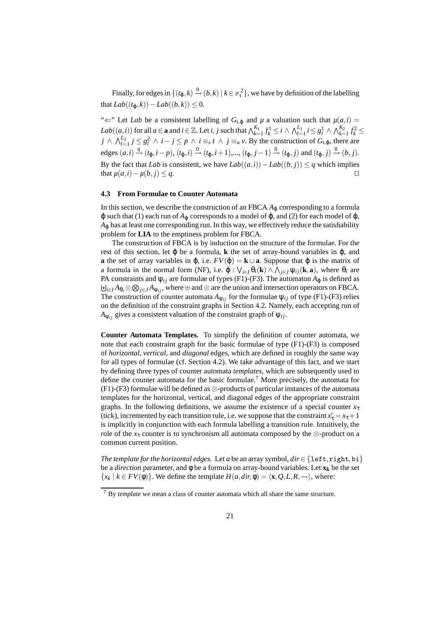Finally, for edges in  $\{(t_\phi, k) \stackrel{0}{\rightarrow} (b, k) \mid k \in \mathbb{P}^2$ , we have by definition of the labelling that  $Lab((t_0, k)) - Lab((b, k)) < 0.$ 

" $\Leftarrow$ " Let *Lab* be a consistent labelling of  $G_{1,\varphi}$  and  $\mu$  a valuation such that  $\mu(a,i)$  $Lab((a, i))$  for all  $a \in \mathbf{a}$  and  $i \in \mathbb{Z}$ . Let  $i, j$  such that  $\bigwedge_{k=1}^{K_1} f_k^1 \leq i \wedge \bigwedge_{l=1}^{L_1} i \leq g_l^1 \wedge \bigwedge_{k=1}^{K_2} f_k^2 \leq$  $j \wedge \bigwedge_{l=1}^{L_2} j \leq g_l^2 \wedge i - j \leq p \wedge i \equiv_s t \wedge j \equiv_u v$ . By the construction of  $G_{t,\varphi}$ , there are edges  $(a, i) \stackrel{q}{\rightarrow} (t_{\varphi}, i - p)$ ,  $(t_{\varphi}, i) \stackrel{0}{\rightarrow} (t_{\varphi}, i + 1)$ ,...,  $(t_{\varphi}, j - 1) \stackrel{0}{\rightarrow} (t_{\varphi}, j)$  and  $(t_{\varphi}, j) \stackrel{0}{\rightarrow} (b, j)$ . By the fact that *Lab* is consistent, we have  $Lab((a,i))-Lab((b,i)) \leq q$  which implies that  $\mu(a,i) - \mu(b,j) \leq q$ .  $□$ 

# **4.3 From Formulae to Counter Automata**

In this section, we describe the construction of an FBCA  $A_{\varphi}$  corresponding to a formula  $\varphi$  such that (1) each run of  $A_{\varphi}$  corresponds to a model of  $\varphi$ , and (2) for each model of  $\varphi$ ,  $A_{\omega}$  has at least one corresponding run. In this way, we effectively reduce the satisfiability problem for **LIA** to the emptiness problem for FBCA.

The construction of FBCA is by induction on the structure of the formulae. For the rest of this section, let ϕ be a formula, **k** the set of array-bound variables in ϕ, and **a** the set of array variables in  $\varphi$ , i.e.  $FV(\varphi) = \mathbf{k} \cup \mathbf{a}$ . Suppose that  $\varphi$  is the matrix of a formula in the normal form (NF), i.e.  $\varphi$  :  $\bigvee_{i \in I} \theta_i(\mathbf{k}) \wedge \bigwedge_{j \in J} \psi_{ij}(\mathbf{k}, \mathbf{a})$ , where  $\theta_i$  are PA constraints and  $\psi_{ij}$  are formulae of types (F1)-(F3). The automaton  $A_{\phi}$  is defined as  $\biguplus_{i\in I}A_{\theta_i}\otimes\bigotimes_{j\in J}A_{\psi_{ij}},$  where  $\uplus$  and  $\otimes$  are the union and intersection operators on FBCA. The construction of counter automata  $A_{\psi_{ij}}$  for the formulae  $\psi_{ij}$  of type (F1)-(F3) relies on the definition of the constraint graphs in Section 4.2. Namely, each accepting run of  $A_{\Psi_{ij}}$  gives a consistent valuation of the constraint graph of  $\Psi_{ij}$ .

**Counter Automata Templates.** To simplify the definition of counter automata, we note that each constraint graph for the basic formulae of type (F1)-(F3) is composed of *horizontal*, *vertical*, and *diagonal* edges, which are defined in roughly the same way for all types of formulae (cf. Section 4.2). We take advantage of this fact, and we start by defining three types of counter automata *templates*, which are subsequently used to define the counter automata for the basic formulae.<sup>7</sup> More precisely, the automata for (F1)-(F3) formulae will be defined as ⊗-products of particular instances of the automata templates for the horizontal, vertical, and diagonal edges of the appropriate constraint graphs. In the following definitions, we assume the existence of a special counter  $x<sub>τ</sub>$ (tick), incremented by each transition rule, i.e. we suppose that the constraint  $x'_{\tau} = x_{\tau} + 1$ is implicitly in conjunction with each formula labelling a transition rule. Intuitively, the role of the  $x<sub>t</sub>$  counter is to synchronism all automata composed by the  $\otimes$ -product on a common current position.

*The template for the horizontal edges.* Let *a* be an array symbol,  $dir \in \{\text{left}, \text{right}, \text{bi}\}$ be a *direction* parameter, and  $\phi$  be a formula on array-bound variables. Let  $\mathbf{x}_k$  be the set  ${x_k | k \in FV(\phi)}$ . We define the template  $H(a, dir, \phi) = \langle \mathbf{x}, Q, L, R, -\rangle$ , where:

<sup>7</sup> By *template* we mean a class of counter automata which all share the same structure.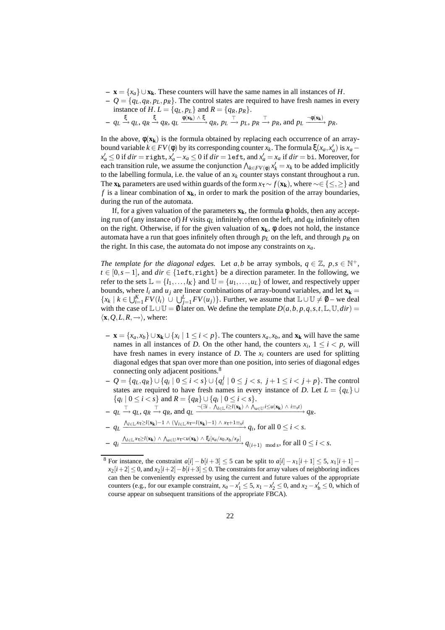- **x** = {*xa*} ∪**xk**. These counters will have the same names in all instances of *H*.
- $Q = \{q_L, q_R, p_L, p_R\}$ . The control states are required to have fresh names in every instance of *H*.  $L = \{q_L, p_L\}$  and  $R = \{q_R, p_R\}.$

$$
- q_L \xrightarrow{\xi} q_L, q_R \xrightarrow{\xi} q_R, q_L \xrightarrow{\phi(\mathbf{x_k}) \wedge \xi} q_R, p_L \xrightarrow{\top} p_L, p_R \xrightarrow{\top} p_R, \text{ and } p_L \xrightarrow{\neg \phi(\mathbf{x_k})} p_R.
$$

In the above,  $\phi(\mathbf{x}_k)$  is the formula obtained by replacing each occurrence of an arraybound variable  $k \in FV(\phi)$  by its corresponding counter  $x_k$ . The formula  $\xi(x_a, x'_a)$  is  $x_a$  $x'_a \le 0$  if  $dir = \text{right}, x'_a - x_a \le 0$  if  $dir = \text{left}, \text{ and } x'_a = x_a$  if  $dir = \text{bi}.$  Moreover, for each transition rule, we assume the conjunction  $\bigwedge_{k \in FV(\phi)} x'_k = x_k$  to be added implicitly to the labelling formula, i.e. the value of an  $x_k$  counter stays constant throughout a run. The **xk** parameters are used within guards of the form  $x_t \sim f(\mathbf{x_k})$ , where ~∈ {≤,≥} and *f* is a linear combination of **xk**, in order to mark the position of the array boundaries, during the run of the automata.

If, for a given valuation of the parameters  $\mathbf{x}_k$ , the formula  $\phi$  holds, then any accepting run of (any instance of) *H* visits  $q_L$  infinitely often on the left, and  $q_R$  infinitely often on the right. Otherwise, if for the given valuation of  $\mathbf{x}_k$ ,  $\phi$  does not hold, the instance automata have a run that goes infinitely often through  $p_L$  on the left, and through  $p_R$  on the right. In this case, the automata do not impose any constraints on  $x_a$ .

*The template for the diagonal edges.* Let *a*,*b* be array symbols,  $q \in \mathbb{Z}$ ,  $p, s \in \mathbb{N}^+$ ,  $t \in [0, s-1]$ , and  $\text{dir} \in \{\text{left}, \text{right}\}$  be a direction parameter. In the following, we refer to the sets  $\mathbb{L} = \{l_1, \ldots, l_K\}$  and  $\mathbb{U} = \{u_1, \ldots, u_L\}$  of lower, and respectively upper bounds, where  $l_i$  and  $u_j$  are linear combinations of array-bound variables, and let  $\mathbf{x_k} =$  ${x_k | k \in \bigcup_{i=1}^{K} FV(l_i) \cup \bigcup_{j=1}^{L} FV(u_j)\}.$  Further, we assume that  $\mathbb{L} \cup \mathbb{U} \neq \emptyset$  – we deal with the case of  $\mathbb{L}\cup\mathbb{U} = \emptyset$  later on. We define the template  $D(a, b, p, q, s, t, \mathbb{L}, \mathbb{U}, dir) =$  $\langle$ **x**, *Q*, *L*, *R*, → $\rangle$ , where:

- **− x** = { $x_a, x_b$ } ∪ **x**<sub>**k**</sub> ∪ { $x_i$  | 1 ≤ *i* < *p*}. The counters  $x_a, x_b$ , and **x**<sub>**k**</sub> will have the same names in all instances of *D*. On the other hand, the counters  $x_i$ ,  $1 \le i \le p$ , will have fresh names in every instance of  $D$ . The  $x_i$  counters are used for splitting diagonal edges that span over more than one position, into series of diagonal edges connecting only adjacent positions.<sup>8</sup>
- **–** *Q* = {*qL*,*qR*} ∪ {*q<sup>i</sup>* | 0 ≤ *i* < *s*} ∪ {*q j i* | 0 ≤ *j* < *s*, *j* + 1 ≤ *i* < *j* + *p*}. The control states are required to have fresh names in every instance of *D*. Let  $L = \{q_L\} \cup$  ${q_i | 0 \le i < s}$  and  $R = {q_R} \cup {q_i | 0 \le i < s}.$
- $q_L \stackrel{\top}{\longrightarrow} q_L, q_R \stackrel{\top}{\longrightarrow} q_R$ , and  $q_L \stackrel{\neg (\exists i \cdot \bigwedge_{l \in L} i \geq l(\mathbf{x_k}) \bigwedge_{u \in U} i \leq u(\mathbf{x_k}) \bigwedge i \equiv_s t)}{\longrightarrow} q_R$ .
- $q_L \frac{\Lambda_{l \in \mathbb{L}} x_l \ge l(\mathbf{x_k}) 1 \wedge (\bigvee_{l \in \mathbb{L}} x_l = l(\mathbf{x_k}) 1) \wedge x_l + 1 \equiv_s i}{q_i}$ , for all  $0 \le i < s$ .  $- q_i \xrightarrow{\Lambda_{l \in \mathbb{L}} x_{\tau} \geq l(\mathbf{x_k}) \wedge \Lambda_{u \in \mathbb{U}} x_{\tau} < u(\mathbf{x_k}) \wedge \xi_i[x_a/x_0,x_b/x_p]} q_{(i+1) \mod s}$ , for all  $0 \leq i < s$ .

<sup>&</sup>lt;sup>8</sup> For instance, the constraint  $a[i] - b[i+3] \le 5$  can be split to  $a[i] - x_1[i+1] \le 5$ ,  $x_1[i+1]$  $x_2[i+2] \leq 0$ , and  $x_2[i+2]-b[i+3] \leq 0$ . The constraints for array values of neighboring indices can then be conveniently expressed by using the current and future values of the appropriate counters (e.g., for our example constraint,  $x_a - x'_1 \le 5$ ,  $x_1 - x'_2 \le 0$ , and  $x_2 - x'_b \le 0$ , which of course appear on subsequent transitions of the appropriate FBCA).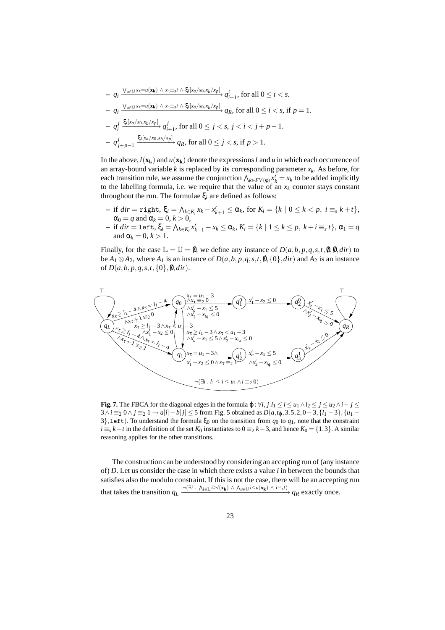$$
- q_i \frac{\vee_{u \in \mathbb{U}^x \tau = u(\mathbf{x_k})} \wedge x_{\tau \equiv s} i \wedge \xi_i[x_a/x_0, x_b/x_p]}{q_{i+1}}, \text{ for all } 0 \le i < s.
$$
  
\n
$$
- q_i \frac{\vee_{u \in \mathbb{U}^x \tau = u(\mathbf{x_k})} \wedge x_{\tau \equiv s} i \wedge \xi_i[x_a/x_0, x_b/x_p]}{q_R, \text{ for all } 0 \le i < s, \text{ if } p = 1.
$$
  
\n
$$
- q_i^j \frac{\xi_i[x_a/x_0, x_b/x_p]}{q_{i+1}}, \text{ for all } 0 \le j < s, \text{ } j < i < j+p-1.
$$
  
\n
$$
- q_{j+p-1}^j \frac{\xi_i[x_a/x_0, x_b/x_p]}{q_R, \text{ for all } 0 \le j < s, \text{ if } p > 1.
$$

In the above,  $l(\mathbf{x}_k)$  and  $u(\mathbf{x}_k)$  denote the expressions *l* and *u* in which each occurrence of an array-bound variable  $k$  is replaced by its corresponding parameter  $x_k$ . As before, for each transition rule, we assume the conjunction  $\bigwedge_{k \in FV(\phi)} x'_k = x_k$  to be added implicitly to the labelling formula, i.e. we require that the value of an  $x_k$  counter stays constant throughout the run. The formulae ξ*<sup>i</sup>* are defined as follows:

- if  $dir = \text{right}, \xi_i = \bigwedge_{k \in K_i} x_k x'_{k+1} \leq \alpha_k$ , for  $K_i = \{k \mid 0 \leq k < p, i \equiv_s k + t\},$  $\alpha_0 = q$  and  $\alpha_k = 0, k > 0$ ,
- if  $dir = \text{left}, \xi_i = \bigwedge_{k \in K_i} x'_{k-1} x_k \le \alpha_k, K_i = \{k \mid 1 \le k \le p, k+i \equiv_s t\}, \alpha_1 = q$ and  $\alpha_k = 0, k > 1$ .

Finally, for the case  $\mathbb{L} = \mathbb{U} = \emptyset$ , we define any instance of  $D(a, b, p, q, s, t, \emptyset, \emptyset, dir)$  to be  $A_1 \otimes A_2$ , where  $A_1$  is an instance of  $D(a, b, p, q, s, t, 0, \{0\}, dir)$  and  $A_2$  is an instance of  $D(a, b, p, q, s, t, \{0\}, \emptyset, dir)$ .



**Fig. 7.** The FBCA for the diagonal edges in the formula  $\varphi$  :  $\forall i, j, l_1 \le i \le u_1 \land l_2 \le j \le u_2 \land i - j \le$ 3∧*i* ≡<sub>2</sub> 0∧*j* ≡<sub>2</sub> 1→ *a*[*i*] − *b*[*j*] ≤ 5 from Fig. 5 obtained as *D*( $a, t_0, 3, 5, 2, 0 - 3, \{l_1 - 3\}, \{u_1 - 3\}$ 3}, left). To understand the formula  $\xi_0$  on the transition from  $q_0$  to  $q_1$ , note that the constraint *i* ≡<sub>*s*</sub> *k*+*t* in the definition of the set *K*<sub>0</sub> instantiates to 0 ≡<sub>2</sub> *k*−3, and hence *K*<sub>0</sub> = {1,3}. A similar reasoning applies for the other transitions.

The construction can be understood by considering an accepting run of (any instance of) *D*. Let us consider the case in which there exists a value *i* in between the bounds that satisfies also the modulo constraint. If this is not the case, there will be an accepting run that takes the transition  $q_L \xrightarrow{-(\exists i \cdot \Lambda_{l \in \mathbb{L}} i \geq l(\mathbf{x_k}) \wedge \Lambda_{u \in \mathbb{U}} i \leq u(\mathbf{x_k}) \wedge i \equiv_s t)} q_R$  exactly once.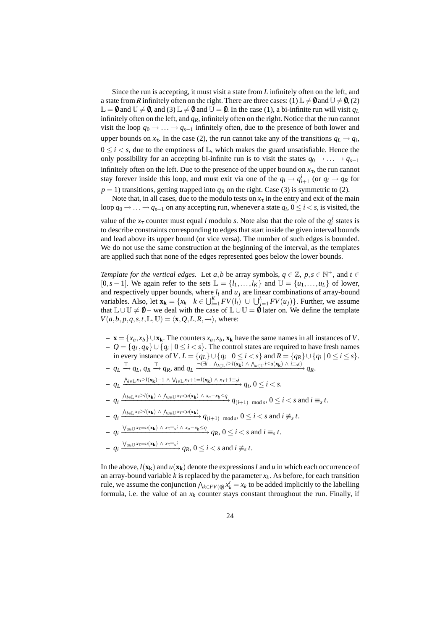Since the run is accepting, it must visit a state from *L* infinitely often on the left, and a state from *R* infinitely often on the right. There are three cases: (1)  $\mathbb{L} \neq \mathbb{0}$  and  $\mathbb{U} \neq \mathbb{0}$ , (2)  $\mathbb{L} = \mathbb{0}$  and  $\mathbb{U} \neq \mathbb{0}$ , and (3)  $\mathbb{L} \neq \mathbb{0}$  and  $\mathbb{U} = \mathbb{0}$ . In the case (1), a bi-infinite run will visit  $q_L$ infinitely often on the left, and *qR*, infinitely often on the right. Notice that the run cannot visit the loop  $q_0 \rightarrow \ldots \rightarrow q_{s-1}$  infinitely often, due to the presence of both lower and upper bounds on  $x_{\tau}$ . In the case (2), the run cannot take any of the transitions  $q_L \rightarrow q_i$ ,  $0 \le i < s$ , due to the emptiness of  $\mathbb{L}$ , which makes the guard unsatisfiable. Hence the only possibility for an accepting bi-infinite run is to visit the states  $q_0 \rightarrow \ldots \rightarrow q_{s-1}$ infinitely often on the left. Due to the presence of the upper bound on  $x<sub>\tau</sub>$ , the run cannot stay forever inside this loop, and must exit via one of the  $q_i \rightarrow q_{i+1}^i$  (or  $q_i \rightarrow q_R$  for  $p = 1$ ) transitions, getting trapped into  $q<sub>R</sub>$  on the right. Case (3) is symmetric to (2).

Note that, in all cases, due to the modulo tests on  $x<sub>\tau</sub>$  in the entry and exit of the main loop  $q_0 \rightarrow \ldots \rightarrow q_{s-1}$  on any accepting run, whenever a state  $q_i$ ,  $0 \le i < s$ , is visited, the value of the  $x<sub>\tau</sub>$  counter must equal *i* modulo *s*. Note also that the role of the  $q<sub>i</sub><sup>j</sup>$  states is to describe constraints corresponding to edges that start inside the given interval bounds and lead above its upper bound (or vice versa). The number of such edges is bounded. We do not use the same construction at the beginning of the interval, as the templates are applied such that none of the edges represented goes below the lower bounds.

*Template for the vertical edges.* Let *a*,*b* be array symbols,  $q \in \mathbb{Z}$ ,  $p, s \in \mathbb{N}^+$ , and  $t \in \mathbb{Z}$ [0,*s* – 1]. We again refer to the sets  $\mathbb{L} = \{l_1, \ldots, l_K\}$  and  $\mathbb{U} = \{u_1, \ldots, u_L\}$  of lower, and respectively upper bounds, where  $l_i$  and  $u_j$  are linear combinations of array-bound variables. Also, let  $\mathbf{x}_k = \{x_k \mid k \in \bigcup_{i=1}^K FV(l_i) \cup \bigcup_{j=1}^L FV(u_j)\}$ . Further, we assume that  $\mathbb{L} \cup \mathbb{U} \neq \emptyset$  – we deal with the case of  $\mathbb{L} \cup \mathbb{U} = \emptyset$  later on. We define the template  $V(a, b, p, q, s, t, \mathbb{L}, \mathbb{U}) = \langle \mathbf{x}, Q, L, R, \rightarrow \rangle$ , where:

**− x** = { $x_a$ , $x_b$ }∪**xk**. The counters  $x_a$ , $x_b$ ,  $\mathbf{x_k}$  have the same names in all instances of *V*. **–** *Q* = {*qL*,*qR*} ∪ {*q<sup>i</sup>* | 0 ≤ *i* < *s*}. The control states are required to have fresh names in every instance of *V*.  $L = \{q_L\} \cup \{q_i | 0 \le i < s\}$  and  $R = \{q_R\} \cup \{q_i | 0 \le i \le s\}$ .  $- q_L \stackrel{\top}{\longrightarrow} q_L, q_R \stackrel{\top}{\longrightarrow} q_R$ , and  $q_L \stackrel{\neg (\exists i \cdot \bigwedge_{l \in L} i \geq l(\mathbf{x_k}) \bigwedge_{u \in U} i \leq u(\mathbf{x_k}) \bigwedge i \equiv_s t)}{\longrightarrow} q_R$ .  $- q_L \xrightarrow{\Lambda_{l \in \mathbb{L}} x_{\tau} \geq l(\mathbf{x_k})-1} \wedge \vee_{l \in \mathbb{L}} x_{\tau}+1=l(\mathbf{x_k}) \wedge x_{\tau}+1 \equiv_s i} q_i, 0 \leq i < s.$  $-q_i \xrightarrow{\Lambda_{l \in \mathbb{L}} x_{\tau} \geq l(\mathbf{x_k}) \wedge \Lambda_{u \in \mathbb{U}} x_{\tau} < u(\mathbf{x_k}) \wedge x_a - x_b \leq q} q_{(i+1) \mod s}, 0 \leq i < s \text{ and } i \equiv_s t.$  $-q_i \frac{\Lambda_{l \in \mathbb{L}} x_{\tau} \geq l(\mathbf{x_k}) \wedge \Lambda_{u \in \mathbb{U}} x_{\tau} < u(\mathbf{x_k})}{q_{(i+1) \mod s}, 0 \leq i < s \text{ and } i \not\equiv_s t.}$  $- q_i \xrightarrow{\bigvee_{u \in \mathbb{U}} x_{\tau} = u(\mathbf{x_k}) \wedge x_{\tau} \equiv_s i \wedge x_a - x_b \leq q} q_R, 0 \leq i < s \text{ and } i \equiv_s t.$  $q_i \xrightarrow{V_{u \in \mathbb{U}} x_{\tau} = u(\mathbf{x_k}) \land x_{\tau} \equiv s^i} q_R, 0 \le i < s \text{ and } i \not\equiv_s t.$ 

In the above,  $l(\mathbf{x}_k)$  and  $u(\mathbf{x}_k)$  denote the expressions *l* and *u* in which each occurrence of an array-bound variable  $k$  is replaced by the parameter  $x_k$ . As before, for each transition rule, we assume the conjunction  $\bigwedge_{k \in FV(\phi)} x'_k = x_k$  to be added implicitly to the labelling formula, i.e. the value of an  $x_k$  counter stays constant throughout the run. Finally, if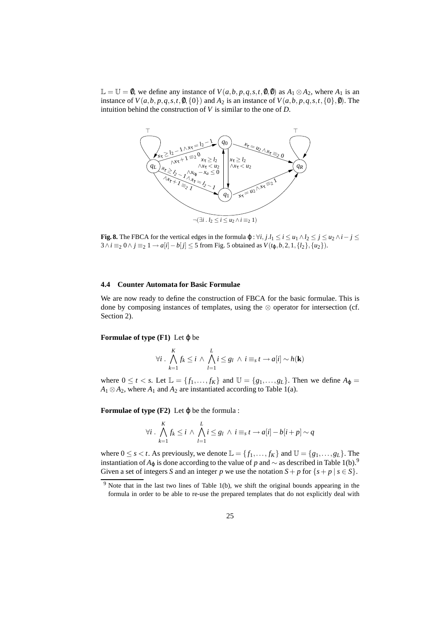$\mathbb{L} = \mathbb{U} = 0$ , we define any instance of *V*(*a*,*b*, *p*, *q*,*s*,*t*,0,0) as *A*<sub>1</sub> ⊗ *A*<sub>2</sub>, where *A*<sub>1</sub> is an instance of  $V(a,b,p,q,s,t,0,\{0\})$  and  $A_2$  is an instance of  $V(a,b,p,q,s,t,\{0\},0)$ . The intuition behind the construction of *V* is similar to the one of *D*.



**Fig. 8.** The FBCA for the vertical edges in the formula  $\varphi : \forall i, j.l_1 \leq i \leq u_1 \land l_2 \leq j \leq u_2 \land i - j \leq u_1$ 3∧*i* ≡<sub>2</sub> 0∧*j* ≡<sub>2</sub> 1→ *a*[*i*]−*b*[*j*] ≤ 5 from Fig. 5 obtained as  $V(t_0, b, 2, 1, {l_2}, {u_2}).$ 

#### **4.4 Counter Automata for Basic Formulae**

We are now ready to define the construction of FBCA for the basic formulae. This is done by composing instances of templates, using the ⊗ operator for intersection (cf. Section 2).

#### **Formulae of type**  $(F1)$  Let  $\varphi$  be

$$
\forall i \cdot \bigwedge_{k=1}^K f_k \leq i \wedge \bigwedge_{l=1}^L i \leq g_l \wedge i \equiv_s t \rightarrow a[i] \sim h(\mathbf{k})
$$

where  $0 \le t < s$ . Let  $\mathbb{L} = \{f_1, \ldots, f_K\}$  and  $\mathbb{U} = \{g_1, \ldots, g_L\}$ . Then we define  $A_{\varphi} =$  $A_1 \otimes A_2$ , where  $A_1$  and  $A_2$  are instantiated according to Table 1(a).

**Formulae of type**  $(F2)$  Let  $\varphi$  be the formula :

$$
\forall i \cdot \bigwedge_{k=1}^{K} f_k \leq i \wedge \bigwedge_{l=1}^{L} i \leq g_l \wedge i \equiv_s t \rightarrow a[i] - b[i+p] \sim q
$$

where  $0 \le s < t$ . As previously, we denote  $\mathbb{L} = \{f_1, \ldots, f_K\}$  and  $\mathbb{U} = \{g_1, \ldots, g_L\}$ . The instantiation of  $A$ <sub>ϕ</sub> is done according to the value of *p* and  $\sim$  as described in Table 1(b).<sup>9</sup> Given a set of integers *S* and an integer *p* we use the notation  $S + p$  for  $\{s + p \mid s \in S\}$ .

 $9$  Note that in the last two lines of Table 1(b), we shift the original bounds appearing in the formula in order to be able to re-use the prepared templates that do not explicitly deal with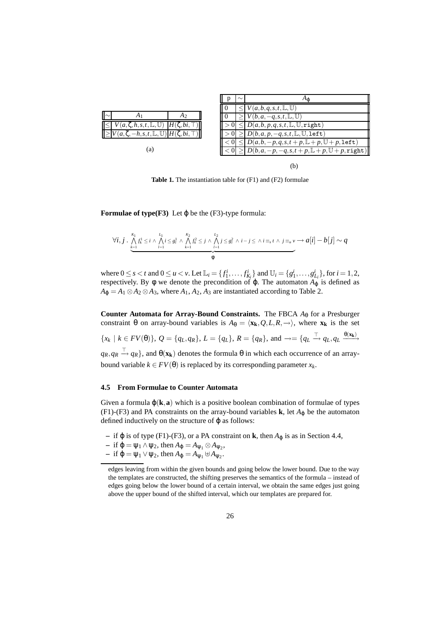|                                                                       | $\sim$ |                                                               |
|-----------------------------------------------------------------------|--------|---------------------------------------------------------------|
|                                                                       |        | $V(a,b,q,s,t,\mathbb{L},\mathbb{U})$                          |
| $\mathsf{II}\!\sim$<br>A <sub>2</sub>                                 |        | $U(b,a,-q,s,t,\mathbb{L},\mathbb{U})$                         |
| $H(\zeta,bi,\top)$<br>$(a, \zeta, h, s, t, \mathbb{L}, \mathbb{U})$   |        | $D(a,b,p,q,s,t,\mathbb{L},\mathbb{U},\mathtt{right})$         |
| $\zeta, -h, s, t, \mathbb{L}, \mathbb{U})$ $H(\zeta, bi, \mathbb{T})$ |        | $D(b,a,p,-q,s,t,\mathbb{L},\mathbb{U},\mathtt{left})$         |
|                                                                       |        | $D(a,b,-p,q,s,t+p,\mathbb{L}+p,\mathbb{U}+p,\texttt{left})$   |
| (a)                                                                   |        | $D(b,a,-p,-q,s,t+p,\mathbb{L}+p,\mathbb{U}+p,\mathtt{right})$ |
|                                                                       |        |                                                               |

(b)

**Table 1.** The instantiation table for (F1) and (F2) formulae

**Formulae of type(F3)** Let  $\varphi$  be the (F3)-type formula:

$$
\forall i,j \cdot \bigwedge_{k=1}^{K_1} f_k^1 \leq i \wedge \bigwedge_{l=1}^{L_1} i \leq g_l^1 \wedge \bigwedge_{k=1}^{K_2} f_k^2 \leq j \wedge \bigwedge_{l=1}^{L_2} j \leq g_l^2 \wedge i - j \leq \wedge i \equiv_s t \wedge j \equiv_u v \longrightarrow a[i] - b[j] \sim q
$$

where  $0 \le s < t$  and  $0 \le u < v$ . Let  $\mathbb{L}_i = \{f_1^i, \dots, f_{K_i}^i\}$  and  $\mathbb{U}_i = \{g_1^i, \dots, g_{L_i}^i\}$ , for  $i = 1, 2$ , respectively. By φ we denote the precondition of φ. The automaton  $A_\phi$  is defined as  $A_0 = A_1 \otimes A_2 \otimes A_3$ , where  $A_1, A_2, A_3$  are instantiated according to Table 2.

**Counter Automata for Array-Bound Constraints.** The FBCA *A*<sup>θ</sup> for a Presburger constraint  $\theta$  on array-bound variables is  $A_{\theta} = \langle \mathbf{x}_k, Q, L, R, \rightarrow \rangle$ , where  $\mathbf{x}_k$  is the set  $\{x_k \mid k \in FV(\theta)\}, Q = \{q_L, q_R\}, L = \{q_L\}, R = \{q_R\}, \text{ and } \rightarrow = \{q_L \xrightarrow{\top} q_L, q_L \xrightarrow{\theta(\mathbf{x_k})}$  $q_R, q_R \stackrel{\top}{\rightarrow} q_R$ , and  $\theta(\mathbf{x_k})$  denotes the formula  $\theta$  in which each occurrence of an arraybound variable  $k \in FV(\theta)$  is replaced by its corresponding parameter  $x_k$ .

#### **4.5 From Formulae to Counter Automata**

Given a formula  $\varphi(\mathbf{k}, \mathbf{a})$  which is a positive boolean combination of formulae of types (F1)-(F3) and PA constraints on the array-bound variables  $\bf{k}$ , let  $A_{\bf{0}}$  be the automaton defined inductively on the structure of  $\varphi$  as follows:

- **–** if ϕ is of type (F1)-(F3), or a PA constraint on **k**, then *A*<sup>ϕ</sup> is as in Section 4.4,
- $-$  if  $\varphi = \psi_1 \wedge \psi_2$ , then  $A_{\varphi} = A_{\psi_1} \otimes A_{\psi_2}$ ,
- $-$  if  $\varphi = \psi_1 \vee \psi_2$ , then  $A_{\varphi} = A_{\psi_1} \uplus A_{\psi_2}$ .

edges leaving from within the given bounds and going below the lower bound. Due to the way the templates are constructed, the shifting preserves the semantics of the formula – instead of edges going below the lower bound of a certain interval, we obtain the same edges just going above the upper bound of the shifted interval, which our templates are prepared for.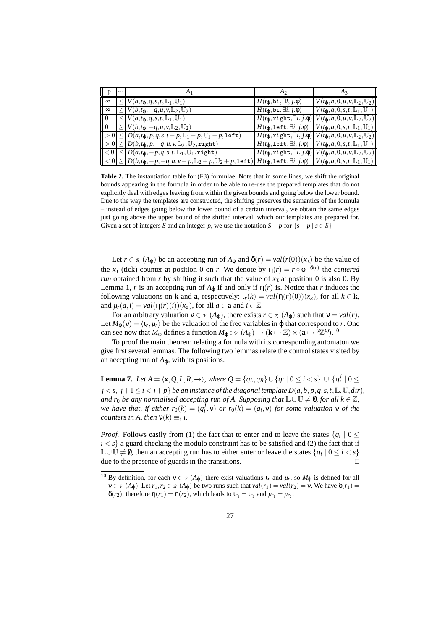| $\parallel$ p | $\sim$ |                                                                                                                                                                                                 | A2                                         | $A_3$                                                                                                                      |
|---------------|--------|-------------------------------------------------------------------------------------------------------------------------------------------------------------------------------------------------|--------------------------------------------|----------------------------------------------------------------------------------------------------------------------------|
| $\sim$        |        | $\leq V(a,t_{\varphi},q,s,t,\mathbb{L}_1,\mathbb{U}_1)$                                                                                                                                         | $H(t_0, \text{bi}, \exists i, j.\phi)$     | $V(t_0, b, 0, u, v, \mathbb{L}_2, \mathbb{U}_2)$                                                                           |
| $\infty$      |        | $\geq$ $V(b,t_{\varphi},-q,u,v,\mathbb{L}_2,\mathbb{U}_2)$                                                                                                                                      | $H(t_0, \text{bi}, \exists i, j.\phi)$     | $V(t_0, a, 0, s, t, \mathbb{L}_1, \mathbb{U}_1)$                                                                           |
| $\sqrt{0}$    |        | $\leq V(a,t_0,q,s,t,\mathbb{L}_1,\mathbb{U}_1)$                                                                                                                                                 |                                            | $H(t_{\varphi}, \mathtt{right}, \exists i, j.\varphi) \big  V(t_{\varphi}, b, 0, u, v, \mathbb{L}_2, \mathbb{U}_2) \big $  |
| $\sqrt{0}$    |        | $\geq V(b,t_{\varphi},-q,u,v,\mathbb{L}_2,\mathbb{U}_2)$                                                                                                                                        | $H(t_0, \texttt{left}, \exists i, j.\phi)$ | $V(t_{\varphi}, a, 0, s, t, \mathbb{L}_1, \mathbb{U}_1)$                                                                   |
|               |        | $  > 0   \leq  D(a,t_0,p,q,s,t-p,\mathbb{L}_1-p,\mathbb{U}_1-p,\texttt{left}) $                                                                                                                 |                                            | $\left  H(t_{\varphi}, \text{right}, \exists i, j.\varphi) \right  V(t_{\varphi}, b, 0, u, v, \mathbb{L}_2, \mathbb{U}_2)$ |
|               |        | $  > 0   \geq   D(b,t_0,p,-q,u,v,\mathbb{L}_2,\mathbb{U}_2,\mathtt{right}) $                                                                                                                    | $H(t_0,\texttt{left},\exists i,j.\phi)$    | $V(t_0, a, 0, s, t, \mathbb{L}_1, \mathbb{U}_1)$                                                                           |
|               |        | $ <0  \leq  D(a,t_{\varphi},-p,q,s,t,\mathbb{L}_1,\mathbb{U}_1,\text{right}) $                                                                                                                  |                                            | $H(t_{\varphi}, \mathtt{right}, \exists i, j.\varphi) \big  V(t_{\varphi}, b, 0, u, v, \mathbb{L}_2, \mathbb{U}_2) \big $  |
|               |        | $\parallel$ $<$ 0 $\parallel$ $\geq$ $\mid$ $D(b,t_{\mathfrak{g}},-p,-q,u,v+p,\mathbb{L}_2+p,\mathbb{U}_2+p,\mathtt{left})\mid$ $H(t_{\mathfrak{g}},\mathtt{left},\exists i,j.\mathfrak{\phi})$ |                                            | $V(t_0, a, 0, s, t, \mathbb{L}_1, \mathbb{U}_1)$                                                                           |

**Table 2.** The instantiation table for (F3) formulae. Note that in some lines, we shift the original bounds appearing in the formula in order to be able to re-use the prepared templates that do not explicitly deal with edges leaving from within the given bounds and going below the lower bound. Due to the way the templates are constructed, the shifting preserves the semantics of the formula – instead of edges going below the lower bound of a certain interval, we obtain the same edges just going above the upper bound of the shifted interval, which our templates are prepared for. Given a set of integers *S* and an integer *p*, we use the notation  $S + p$  for  $\{s + p \mid s \in S\}$ 

Let  $r \in \mathcal{R}(A_{\varphi})$  be an accepting run of  $A_{\varphi}$  and  $\delta(r) = val(r(0))(x_{\tau})$  be the value of the  $x_{\tau}$  (tick) counter at position 0 on *r*. We denote by  $\eta(r) = r \circ \sigma^{-\delta(r)}$  the *centered run* obtained from *r* by shifting it such that the value of  $x<sub>τ</sub>$  at position 0 is also 0. By Lemma 1, *r* is an accepting run of  $A_{\varphi}$  if and only if  $\eta(r)$  is. Notice that *r* induces the following valuations on **k** and **a**, respectively:  $\iota_r(k) = val(\eta(r)(0))(x_k)$ , for all  $k \in \mathbf{k}$ , and  $\mu_r(a, i) = val(\eta(r)(i))(x_a)$ , for all  $a \in \mathbf{a}$  and  $i \in \mathbb{Z}$ .

For an arbitrary valuation  $v \in \mathcal{V}(A_{\phi})$ , there exists  $r \in \mathcal{R}(A_{\phi})$  such that  $v = val(r)$ . Let  $M_{\phi}(v) = \langle v_r, \mu_r \rangle$  be the valuation of the free variables in  $\phi$  that correspond to *r*. One can see now that  $M_{\varphi}$  defines a function  $M_{\varphi}: \nu(A_{\varphi}) \to (\mathbf{k} \mapsto \mathbb{Z}) \times (\mathbf{a} \mapsto {}^{\omega}\mathbb{Z}^{\omega})$ .<sup>10</sup>

To proof the main theorem relating a formula with its corresponding automaton we give first several lemmas. The following two lemmas relate the control states visited by an accepting run of  $A_{\varphi}$ , with its positions.

**Lemma 7.** *Let*  $A = \langle \mathbf{x}, Q, L, R, \to \rangle$ *, where*  $Q = \{q_L, q_R\} \cup \{q_i \mid 0 \leq i < s\}$  ∪  $\{q_i^j \mid 0 \leq j \leq s\}$  $j < s$ ,  $j+1 \leq i < j+p$  *be an instance of the diagonal template*  $D(a,b,p,q,s,t,\mathbb{L},\mathbb{U},dir)$ *, and r*<sub>0</sub> *be any normalised accepting run of A. Supposing that*  $\mathbb{L} \cup \mathbb{U} \neq \emptyset$ *, for all*  $k \in \mathbb{Z}$ *, we have that, if either*  $r_0(k) = (q_i^j, v)$  *or*  $r_0(k) = (q_i, v)$  *for some valuation*  $v$  *of the counters in A, then*  $v(k) \equiv_s i$ .

*Proof.* Follows easily from (1) the fact that to enter and to leave the states  $\{q_i \mid 0 \leq \}$  $i < s$ } a guard checking the modulo constraint has to be satisfied and (2) the fact that if L∪Ú ≠ 0, then an accepting run has to either enter or leave the states  $\{q_i \mid 0 \leq i < s\}$ due to the presence of guards in the transitions.  $\Box$ 

<sup>&</sup>lt;sup>10</sup> By definition, for each  $v \in V(A_{\phi})$  there exist valuations  $t_r$  and  $\mu_r$ , so  $M_{\phi}$  is defined for all  $v \in V(A_{\varphi})$ . Let  $r_1, r_2 \in \mathcal{R}(A_{\varphi})$  be two runs such that  $val(r_1) = val(r_2) = v$ . We have  $\delta(r_1) =$  $\delta(r_2)$ , therefore  $\eta(r_1) = \eta(r_2)$ , which leads to  $\iota_{r_1} = \iota_{r_2}$  and  $\mu_{r_1} = \mu_{r_2}$ .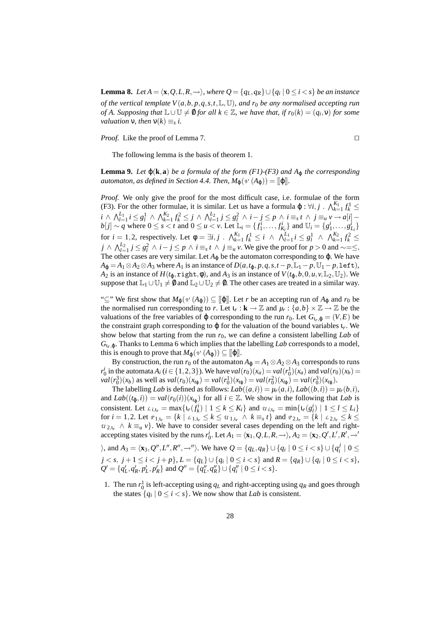**Lemma 8.** *Let*  $A = \langle \mathbf{x}, Q, L, R, \rightarrow \rangle$ *, where*  $Q = \{q_L, q_R\} \cup \{q_i | 0 \leq i < s\}$  *be an instance of the vertical template V*(*a*,*b*, *p*,*q*,*s*,*t*,L,U)*, and r*<sup>0</sup> *be any normalised accepting run of* A. Supposing that  $\mathbb{L} \cup \mathbb{U} \neq \emptyset$  for all  $k \in \mathbb{Z}$ , we have that, if  $r_0(k) = (q_i, v)$  for some *valuation*  $\nu$ *, then*  $\nu(k) \equiv_s i$ *.* 

*Proof.* Like the proof of Lemma 7.  $\Box$ 

The following lemma is the basis of theorem 1.

**Lemma 9.** *Let*  $\varphi(\mathbf{k}, \mathbf{a})$  *be a formula of the form (F1)-(F3) and*  $A_{\varphi}$  *the corresponding automaton, as defined in Section 4.4. Then,*  $M_{\phi}(\nu(A_{\phi})) = [\phi]$ *.* 

*Proof.* We only give the proof for the most difficult case, i.e. formulae of the form (F3). For the other formulae, it is similar. Let us have a formula  $\varphi$  :  $\forall i, j$  .  $\bigwedge_{k=1}^{K_1} f_k^1 \leq$ *k*=1  $i \wedge \bigwedge_{l=1}^{L_1} i \leq g_l^1 \wedge \bigwedge_{k=1}^{K_2} f_k^2 \leq j \wedge \bigwedge_{l=1}^{L_2} j \leq g_l^2 \wedge i - j \leq p \wedge i \equiv_s t \wedge j \equiv_u v \rightarrow a[i]$  $b[j] \sim q$  where  $0 \le s < t$  and  $0 \le u < v$ . Let  $\mathbb{L}_i = \{f_1^i, ..., f_{K_i}^i\}$  and  $\mathbb{U}_i = \{g_1^i, ..., g_{L_i}^i\}$ for  $i = 1, 2$ , respectively. Let  $\phi = \exists i, j$ .  $\bigwedge_{k=1}^{K_1} f_k^1 \leq i \ \wedge \ \bigwedge_{l=1}^{L_1} i \leq g_l^1 \ \wedge \ \bigwedge_{k=1}^{K_2} f_k^2 \leq$ *j* ∧  $\bigwedge_{l=1}^{L_2} j \le g_l^2$  ∧ *i* − *j* ≤ *p* ∧ *i* ≡<sub>*s*</sub> *t* ∧ *j* ≡<sub>*u*</sub> *v*. We give the proof for *p* > 0 and ~=≤. The other cases are very similar. Let  $A_{\varphi}$  be the automaton corresponding to  $\varphi$ . We have  $A_{\phi} = A_1 \otimes A_2 \otimes A_3$  where  $A_1$  is an instance of  $D(a, t_{\phi}, p, q, s, t - p, \mathbb{L}_1 - p, \mathbb{U}_1 - p, \text{left})$ , *A*<sub>2</sub> is an instance of  $H(t_0, \text{right}, \phi)$ , and *A*<sub>3</sub> is an instance of  $V(t_0, b, 0, u, v, \mathbb{L}_2, \mathbb{U}_2)$ . We suppose that  $\mathbb{L}_1 \cup \mathbb{U}_1 \neq \emptyset$  and  $\mathbb{L}_2 \cup \mathbb{U}_2 \neq \emptyset$ . The other cases are treated in a similar way.

"⊆" We first show that  $M_{\phi}(\nu(A_{\phi})) \subseteq [\phi]$ . Let *r* be an accepting run of  $A_{\phi}$  and  $r_0$  be the normalised run corresponding to *r*. Let  $\iota_r : \mathbf{k} \to \mathbb{Z}$  and  $\mu_r : \{a, b\} \times \mathbb{Z} \to \mathbb{Z}$  be the valuations of the free variables of  $\varphi$  corresponding to the run  $r_0$ . Let  $G_{1r,\varphi} = (V,E)$  be the constraint graph corresponding to ϕ for the valuation of the bound variables ι*<sup>r</sup>* . We show below that starting from the run *r*0, we can define a consistent labelling *Lab* of  $G_{1r, \phi}$ . Thanks to Lemma 6 which implies that the labelling *Lab* corresponds to a model, this is enough to prove that  $M_{\varphi}(\nu(A_{\varphi})) \subseteq [\varphi]]$ .

By construction, the run  $r_0$  of the automaton  $A_{\phi} = A_1 \otimes A_2 \otimes A_3$  corresponds to runs *r*<sup>*i*</sup><sub>0</sub> in the automata *A<sub>i</sub>* (*i* ∈ {1,2,3}). We have *val*(*r*<sub>0</sub>)(*x<sub>a</sub>*) = *val*(*r*<sub>1</sub>)(*x<sub>a</sub>*) and *val*(*r*<sub>0</sub>)(*x<sub>b</sub>*) =  $val(r_0^3)(x_b)$  as well as  $val(r_0)(x_{t_{\varphi}}) = val(r_0^1)(x_{t_{\varphi}}) = val(r_0^2)(x_{t_{\varphi}}) = val(r_0^3)(x_{t_{\varphi}})$ .

The labelling *Lab* is defined as follows:  $Lab((a,i)) = \mu_r(a,i)$ ,  $Lab((b,i)) = \mu_r(b,i)$ , and  $Lab((t_{\varphi},i)) = val(r_0(i))(x_{t_{\varphi}})$  for all  $i \in \mathbb{Z}$ . We show in the following that *Lab* is consistent. Let  $L_{i_1i_r} = \max\{t_r(f_k^i) \mid 1 \leq k \leq K_i\}$  and  $u_{i_1i_r} = \min\{t_r(g_l^i) \mid 1 \leq l \leq L_i\}$ for  $i = 1, 2$ . Let  $P_{1,1,r} = \{k \mid L_{1,1,r} \leq k \leq u_{1,1,r} \land k = s \}$  and  $P_{2,1,r} = \{k \mid L_{2,1,r} \leq k \leq u_{1,1,r} \land k = s \}$  $u_{2,t_r} \wedge k \equiv_u v$ . We have to consider several cases depending on the left and rightaccepting states visited by the runs  $r_0^i$ . Let  $A_1 = \langle \mathbf{x}_1, Q, L, R, \rightarrow \rangle$ ,  $A_2 = \langle \mathbf{x}_2, Q', L', R', \rightarrow'$ 

 $\lambda$ , and  $A_3 = \langle \mathbf{x}_3, Q'', L'', R'', \rightarrow'' \rangle$ . We have  $Q = \{q_L, q_R\} \cup \{q_i \mid 0 \le i < s\} \cup \{q_i^j \mid 0 \le i$  $j < s, \; j+1 \leq i < j+p \},$   $L = \{q_{L}\} \cup \{q_{i} \mid 0 \leq i < s \}$  and  $R = \{q_{R}\} \cup \{q_{i} \mid 0 \leq i < s \},$  $Q' = \{q'_L, q'_R, p'_L, p'_R\}$  and  $Q'' = \{q''_L, q''_R\} \cup \{q''_i \mid 0 \le i < s\}.$ 

1. The run  $r_0^1$  is left-accepting using  $q_L$  and right-accepting using  $q_R$  and goes through the states  $\{q_i | 0 \le i < s\}$ . We now show that *Lab* is consistent.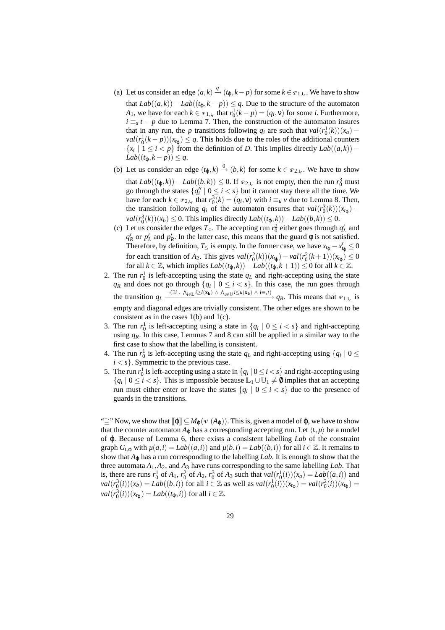- (a) Let us consider an edge  $(a, k) \stackrel{q}{\rightarrow} (t_{\varphi}, k p)$  for some  $k \in \mathcal{P}_{1, t_r}$ . We have to show that  $Lab((a,k))-Lab((t_0,k-p)) ≤ q$ . Due to the structure of the automaton *A*<sub>1</sub>, we have for each  $k \in P_{1,1,r}$  that  $r_0^1(k-p) = (q_i, v)$  for some *i*. Furthermore,  $i \equiv_s t - p$  due to Lemma 7. Then, the construction of the automaton insures that in any run, the *p* transitions following  $q_i$  are such that  $val(r_0^1(k))(x_a)$  –  $val(r_0^1(k-p))(x_{t_{\varphi}}) \leq q$ . This holds due to the roles of the additional counters {*x<sub><i>i*</sub></sub> | 1 ≤ *i* < *p*} from the definition of *D*. This implies directly  $Lab((a,k))$  −  $Lab((t_{\varphi},k-p)) \leq q.$
- (b) Let us consider an edge  $(t_{\varphi}, k) \xrightarrow{0} (b, k)$  for some  $k \in \mathcal{P}_{2, t_r}$ . We have to show that *Lab*((*t*<sub>φ</sub>,*k*)) − *Lab*((*b*,*k*)) ≤ 0. If  $\varphi$ <sub>2,*ιr*</sub> is not empty, then the run  $r_0$ <sup>3</sup> must go through the states  $\{q_i'' \mid 0 \le i < s\}$  but it cannot stay there all the time. We have for each  $k \in \mathcal{P}_{2,1_r}$  that  $r_0^3(k) = (q_i, v)$  with  $i \equiv_u v$  due to Lemma 8. Then, the transition following  $q_i$  of the automaton ensures that  $val(r_0^3(k))(x_{t_\phi})$  – *val*( $r_0^3(k)$ )( $x_b$ ) ≤ 0. This implies directly  $Lab((t_\varphi, k)) - Lab((b, k)) ≤ 0$ .
- (c) Let us consider the edges  $T_{\leq}$ . The accepting run  $r_0^2$  either goes through  $q'_L$  and  $q'_R$  or  $p'_L$  and  $p'_R$ . In the latter case, this means that the guard  $\phi$  is not satisfied. Therefore, by definition, *T* ≤ is empty. In the former case, we have  $x_{t_{\phi}} - x'_{t_{\phi}} \leq 0$ for each transition of *A*<sub>2</sub>. This gives  $val(r_0^2(k))(x_{t_\varphi}) - val(r_0^2(k+1))(x_{t_\varphi}) \le 0$ for all *k* ∈  $\mathbb{Z}$ , which implies  $Lab((t_0, k)) - Lab((t_0, k+1)) \leq 0$  for all  $k \in \mathbb{Z}$ .
- 2. The run  $r_0^1$  is left-accepting using the state  $q_L$  and right-accepting using the state *qR* and does not go through  $\{q_i \mid 0 \le i < s\}$ . In this case, the run goes through the transition  $q_L \xrightarrow{\neg (\exists i \cdot \Lambda_{l \in \mathbb{L}} i \geq l(\mathbf{x_k}) \wedge \Lambda_{u \in \mathbb{U}} i \leq u(\mathbf{x_k}) \wedge i \equiv_{st} t)} q_R$ . This means that  $\varphi_{1,t_r}$  is empty and diagonal edges are trivially consistent. The other edges are shown to be consistent as in the cases  $1(b)$  and  $1(c)$ .
- 3. The run  $r_0^1$  is left-accepting using a state in  $\{q_i \mid 0 \le i < s\}$  and right-accepting using  $q<sub>R</sub>$ . In this case, Lemmas 7 and 8 can still be applied in a similar way to the first case to show that the labelling is consistent.
- 4. The run  $r_0^1$  is left-accepting using the state  $q_L$  and right-accepting using  $\{q_i \mid 0 \leq \}$  $i < s$ . Symmetric to the previous case.
- 5. The run  $r_0^1$  is left-accepting using a state in  $\{q_i \mid 0 \le i < s\}$  and right-accepting using  ${q_i | 0 \le i < s}$ . This is impossible because  $\mathbb{L}_1 \cup \mathbb{U}_1 \ne \emptyset$  implies that an accepting run must either enter or leave the states  $\{q_i \mid 0 \leq i < s\}$  due to the presence of guards in the transitions.

" $\supseteq$ " Now, we show that  $[\![\varphi]\!] \subseteq M_{\varphi}(\nu(A_{\varphi}))$ . This is, given a model of  $\varphi$ , we have to show that the counter automaton  $A_{\omega}$  has a corresponding accepting run. Let  $\langle 1, \mu \rangle$  be a model of ϕ. Because of Lemma 6, there exists a consistent labelling *Lab* of the constraint graph  $G_{1,\phi}$  with  $\mu(a,i) = Lab((a,i))$  and  $\mu(b,i) = Lab((b,i))$  for all  $i \in \mathbb{Z}$ . It remains to show that  $A_{\omega}$  has a run corresponding to the labelling *Lab*. It is enough to show that the three automata  $A_1$ ,  $A_2$ , and  $A_3$  have runs corresponding to the same labelling *Lab*. That is, there are runs  $r_0^1$  of  $A_1$ ,  $r_0^2$  of  $A_2$ ,  $r_0^3$  of  $A_3$  such that  $val(r_0^1(i))(x_a) = Lab((a,i))$  and  $val(r_0^3(i))(x_b) = Lab((b,i))$  for all  $i \in \mathbb{Z}$  as well as  $val(r_0^1(i))(x_{t_0}) = val(r_0^2(i))(x_{t_0}) =$  $val(r_0^3(i))(x_{t_\phi}) = Lab((t_\phi, i))$  for all  $i \in \mathbb{Z}$ .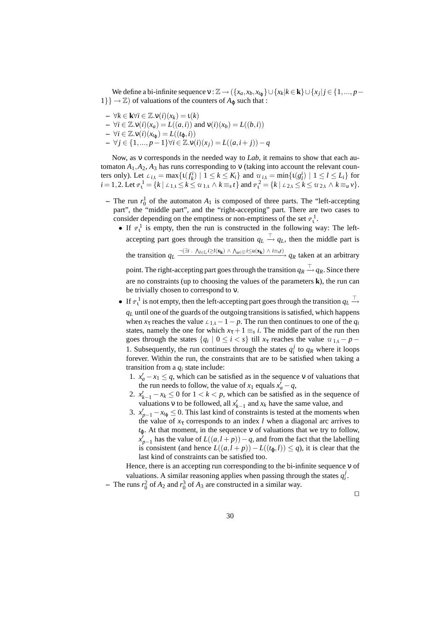We define a bi-infinite sequence  $v : \mathbb{Z} \to (\{x_a, x_b, x_{t_\phi}\} \cup \{x_k | k \in \mathbf{k}\} \cup \{x_j | j \in \{1, ..., p-1\})$  $1\} \rightarrow \mathbb{Z}$ ) of valuations of the counters of  $A_{\phi}$  such that :

**–** ∀*k* ∈ **k**∀*i* ∈ Z.ν(*i*)(*xk*) = ι(*k*) **–** ∀*i* ∈ Z.ν(*i*)(*xa*) = *L*((*a*,*i*)) and ν(*i*)(*xb*) = *L*((*b*,*i*))  $-$  ∀*i* ∈ ℤ.ν(*i*)( $x_{t_{\phi}}$ ) = *L*(( $t_{\phi}, i$ )) **–** ∀ *j* ∈ {1,..., *p*−1}∀*i* ∈ Z.ν(*i*)(*xj*) = *L*((*a*,*i*+ *j*))−*q*

Now, as ν corresponds in the needed way to *Lab*, it remains to show that each automaton  $A_1$ ,  $A_2$ ,  $A_3$  has runs corresponding to v (taking into account the relevant counters only). Let  $L_{i,1} = \max\{t(f_k^i) \mid 1 \le k \le K_i\}$  and  $u_{i,1} = \min\{t(g_l^i) \mid 1 \le l \le L_i\}$  for  $i = 1, 2$ . Let  $\mathbb{P}_1^1 = \{k \mid \mathbb{L}_{1,1} \leq k \leq u_{1,1} \land k \equiv_s t\}$  and  $\mathbb{P}_1^2 = \{k \mid \mathbb{L}_{2,1} \leq k \leq u_{2,1} \land k \equiv_u v\}$ .

- $-$  The run  $r_0^1$  of the automaton  $A_1$  is composed of three parts. The "left-accepting" part", the "middle part", and the "right-accepting" part. There are two cases to consider depending on the emptiness or non-emptiness of the set  $\varphi_1^1$ .
	- If  $\varphi_1^1$  is empty, then the run is constructed in the following way: The leftaccepting part goes through the transition  $q_L \stackrel{\top}{\rightarrow} q_L$ , then the middle part is the transition  $q_L \xrightarrow{\neg (\exists i \cdot \Lambda_{l \in L} i \geq l(\mathbf{x_k}) \wedge \Lambda_{u \in U} i \leq u(\mathbf{x_k}) \wedge i \equiv_s t)} q_R$  taken at an arbitrary point. The right-accepting part goes through the transition  $q_R \stackrel{\top}{\rightarrow} q_R$ . Since there are no constraints (up to choosing the values of the parameters **k**), the run can be trivially chosen to correspond to ν.
	- If  $\varphi_1^1$  is not empty, then the left-accepting part goes through the transition  $q_L$ <sup>T</sup> *q<sup>L</sup>* until one of the guards of the outgoing transitions is satisfied, which happens when  $x_t$  reaches the value  $\mathcal{L}_{1,t} - 1 - p$ . The run then continues to one of the  $q_i$ states, namely the one for which  $x_{\tau} + 1 \equiv_s i$ . The middle part of the run then goes through the states  $\{q_i \mid 0 \leq i < s\}$  till  $x_{\tau}$  reaches the value  $u_{1,1} - p -$ 1. Subsequently, the run continues through the states  $q_i^j$  to  $q_R$  where it loops forever. Within the run, the constraints that are to be satisfied when taking a transition from a *q<sup>i</sup>* state include:
		- 1.  $x'_a x_1 \leq q$ , which can be satisfied as in the sequence v of valuations that the run needs to follow, the value of  $x_1$  equals  $x'_a - q$ ,
		- 2.  $x'_{k-1} x_k \leq 0$  for  $1 < k < p$ , which can be satisfied as in the sequence of valuations v to be followed, all  $x'_{k-1}$  and  $x_k$  have the same value, and
		- 3.  $x'_{p-1} x_{t_{\varphi}} \leq 0$ . This last kind of constraints is tested at the moments when the value of  $x<sub>\tau</sub>$  corresponds to an index *l* when a diagonal arc arrives to  $t_{\varphi}$ . At that moment, in the sequence v of valuations that we try to follow,  $\chi_{p-1}^j$  has the value of  $L((a, l+p)) - q$ , and from the fact that the labelling is consistent (and hence  $L((a, l + p)) - L((t_{\varphi}, l)) \leq q$ ), it is clear that the last kind of constraints can be satisfied too.

Hence, there is an accepting run corresponding to the bi-infinite sequence ν of valuations. A similar reasoning applies when passing through the states  $q_i^j$ .

- The runs  $r_0^2$  of  $A_2$  and  $r_0^3$  of  $A_3$  are constructed in a similar way.

 $\Box$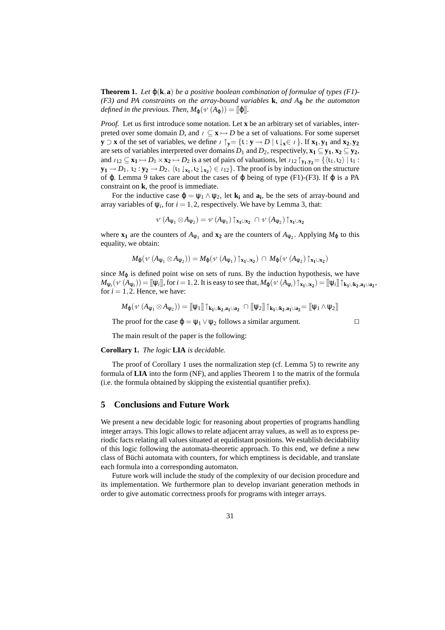**Theorem 1.** Let  $\varphi(\mathbf{k}, \mathbf{a})$  be a positive boolean combination of formulae of types (F1)-*(F3) and PA constraints on the array-bound variables* **k***, and A*<sup>ϕ</sup> *be the automaton defined in the previous. Then,*  $M_{\phi}(\nu(A_{\phi})) = ||\phi||$ *.* 

*Proof.* Let us first introduce some notation. Let **x** be an arbitrary set of variables, interpreted over some domain *D*, and  $I \subseteq \mathbf{X} \mapsto D$  be a set of valuations. For some superset **y** ⊃ **x** of the set of variables, we define  $I \uparrow y = \{1 : y \rightarrow D \mid 1 \downarrow x \in I\}$ . If **x**<sub>1</sub>, **y**<sub>1</sub> and **x**<sub>2</sub>, **y**<sub>2</sub> are sets of variables interpreted over domains  $D_1$  and  $D_2$ , respectively,  $\mathbf{x}_1 \subseteq \mathbf{y}_1, \mathbf{x}_2 \subseteq \mathbf{y}_2$ , and  $I_{12} \subseteq \mathbf{x_1} \mapsto D_1 \times \mathbf{x_2} \mapsto D_2$  is a set of pairs of valuations, let  $I_{12} \uparrow_{\mathbf{y_1},\mathbf{y_2}} = {\langle\langle \iota_1,\iota_2 \rangle | \iota_1 : \iota_2 \rangle \rangle | \iota_2 \rangle}$  $\mathbf{y_1} \rightarrow D_1, \mathbf{t_2} : \mathbf{y_2} \rightarrow D_2, \langle \mathbf{t_1} \downarrow_{\mathbf{x_1}}, \mathbf{t_2} \downarrow_{\mathbf{x_2}} \rangle \in I_{12}$ . The proof is by induction on the structure of  $\varphi$ . Lemma 9 takes care about the cases of  $\varphi$  being of type (F1)-(F3). If  $\varphi$  is a PA constraint on **k**, the proof is immediate.

For the inductive case  $\varphi = \psi_1 \wedge \psi_2$ , let  $\mathbf{k}_i$  and  $\mathbf{a}_i$ , be the sets of array-bound and array variables of  $\psi_i$ , for  $i = 1, 2$ , respectively. We have by Lemma 3, that:

$$
\nu(A_{\psi_1} \otimes A_{\psi_2}) = \nu(A_{\psi_1}) \uparrow_{\mathbf{x}_1 \cup \mathbf{x}_2} \cap \nu(A_{\psi_2}) \uparrow_{\mathbf{x}_1 \cup \mathbf{x}_2}
$$

where  $\mathbf{x}_1$  are the counters of  $A_{\psi_1}$  and  $\mathbf{x}_2$  are the counters of  $A_{\psi_2}$ . Applying  $M_{\phi}$  to this equality, we obtain:

$$
M_{\phi}(\nu \; (A_{\psi_1} \otimes A_{\psi_2})) = M_{\phi}(\nu \; (A_{\psi_1}) \uparrow_{x_1 \cup x_2}) \; \cap \; M_{\phi}(\nu \; (A_{\psi_2}) \uparrow_{x_1 \cup x_2})
$$

since  $M_{\phi}$  is defined point wise on sets of runs. By the induction hypothesis, we have  $M_{\psi_i}(\nu(A_{\psi_i})) = [\![\psi_i]\!],$  for  $i = 1, 2$ . It is easy to see that,  $M_{\phi}(\nu(A_{\psi_i}) \uparrow_{x_1 \cup x_2}) = [\![\psi_i]\!] \uparrow_{k_1 \cup k_2, a_1 \cup a_2}$ , for  $i = 1, 2$ . Hence, we have:

$$
\mathit{M}_{\phi}(\mathit{v}~(A_{\psi_1}\otimes A_{\psi_2}))=[\![\psi_1]\!]\uparrow_{\mathbf{k}_1\cup\mathbf{k}_2,\mathbf{a}_1\cup\mathbf{a}_2}~\cap~[\![\psi_2]\!]\uparrow_{\mathbf{k}_1\cup\mathbf{k}_2,\mathbf{a}_1\cup\mathbf{a}_2}=[\![\psi_1\wedge\psi_2]\!]
$$

The proof for the case  $\varphi = \psi_1 \vee \psi_2$  follows a similar argument.

The main result of the paper is the following:

#### **Corollary 1.** *The logic* **LIA** *is decidable.*

The proof of Corollary 1 uses the normalization step (cf. Lemma 5) to rewrite any formula of **LIA** into the form (NF), and applies Theorem 1 to the matrix of the formula (i.e. the formula obtained by skipping the existential quantifier prefix).

#### **5 Conclusions and Future Work**

We present a new decidable logic for reasoning about properties of programs handling integer arrays. This logic allows to relate adjacent array values, as well as to express periodic facts relating all values situated at equidistant positions. We establish decidability of this logic following the automata-theoretic approach. To this end, we define a new class of Büchi automata with counters, for which emptiness is decidable, and translate each formula into a corresponding automaton.

Future work will include the study of the complexity of our decision procedure and its implementation. We furthermore plan to develop invariant generation methods in order to give automatic correctness proofs for programs with integer arrays.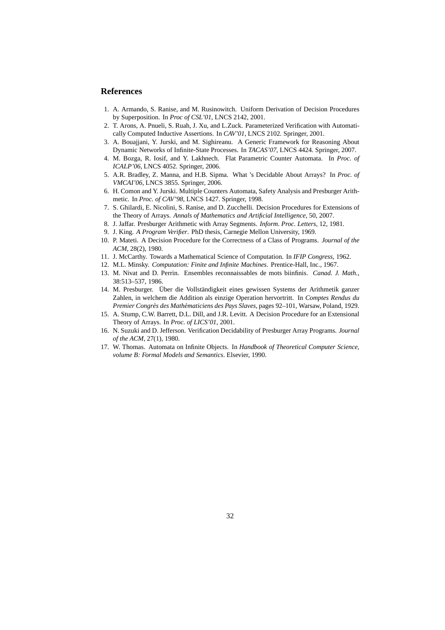# **References**

- 1. A. Armando, S. Ranise, and M. Rusinowitch. Uniform Derivation of Decision Procedures by Superposition. In *Proc of CSL'01*, LNCS 2142, 2001.
- 2. T. Arons, A. Pnueli, S. Ruah, J. Xu, and L.Zuck. Parameterized Verification with Automatically Computed Inductive Assertions. In *CAV'01*, LNCS 2102. Springer, 2001.
- 3. A. Bouajjani, Y. Jurski, and M. Sighireanu. A Generic Framework for Reasoning About Dynamic Networks of Infinite-State Processes. In *TACAS'07*, LNCS 4424. Springer, 2007.
- 4. M. Bozga, R. Iosif, and Y. Lakhnech. Flat Parametric Counter Automata. In *Proc. of ICALP'06*, LNCS 4052. Springer, 2006.
- 5. A.R. Bradley, Z. Manna, and H.B. Sipma. What 's Decidable About Arrays? In *Proc. of VMCAI'06*, LNCS 3855. Springer, 2006.
- 6. H. Comon and Y. Jurski. Multiple Counters Automata, Safety Analysis and Presburger Arithmetic. In *Proc. of CAV'98*, LNCS 1427. Springer, 1998.
- 7. S. Ghilardi, E. Nicolini, S. Ranise, and D. Zucchelli. Decision Procedures for Extensions of the Theory of Arrays. *Annals of Mathematics and Artificial Intelligence*, 50, 2007.
- 8. J. Jaffar. Presburger Arithmetic with Array Segments. *Inform. Proc. Letters*, 12, 1981.
- 9. J. King. *A Program Verifier*. PhD thesis, Carnegie Mellon University, 1969.
- 10. P. Mateti. A Decision Procedure for the Correctness of a Class of Programs. *Journal of the ACM*, 28(2), 1980.
- 11. J. McCarthy. Towards a Mathematical Science of Computation. In *IFIP Congress*, 1962.
- 12. M.L. Minsky. *Computation: Finite and Infinite Machines*. Prentice-Hall, Inc., 1967.
- 13. M. Nivat and D. Perrin. Ensembles reconnaissables de mots biinfinis. *Canad. J. Math.*, 38:513–537, 1986.
- 14. M. Presburger. Über die Vollständigkeit eines gewissen Systems der Arithmetik ganzer Zahlen, in welchem die Addition als einzige Operation hervortritt. In *Comptes Rendus du Premier Congr`es des Math´ematiciens des Pays Slaves*, pages 92–101, Warsaw, Poland, 1929.
- 15. A. Stump, C.W. Barrett, D.L. Dill, and J.R. Levitt. A Decision Procedure for an Extensional Theory of Arrays. In *Proc. of LICS'01*, 2001.
- 16. N. Suzuki and D. Jefferson. Verification Decidability of Presburger Array Programs. *Journal of the ACM*, 27(1), 1980.
- 17. W. Thomas. Automata on Infinite Objects. In *Handbook of Theoretical Computer Science, volume B: Formal Models and Semantics*. Elsevier, 1990.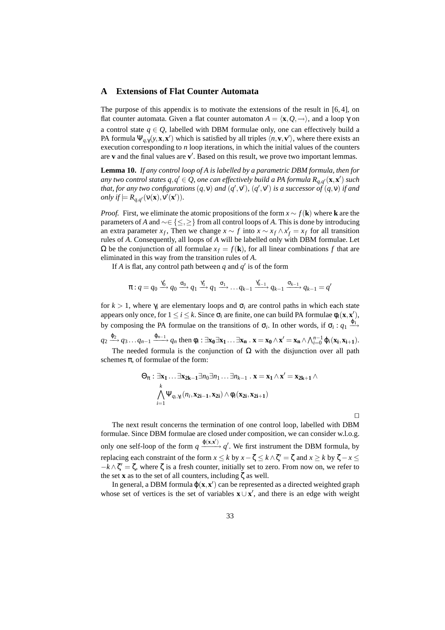# **A Extensions of Flat Counter Automata**

The purpose of this appendix is to motivate the extensions of the result in [6, 4], on flat counter automata. Given a flat counter automaton  $A = \langle \mathbf{x}, Q, \rightarrow \rangle$ , and a loop  $\gamma$  on a control state  $q \in Q$ , labelled with DBM formulae only, one can effectively build a PA formula  $\Psi_{q,\gamma}(y,\mathbf{x},\mathbf{x}')$  which is satisfied by all triples  $\langle n,\mathbf{v},\mathbf{v}'\rangle$ , where there exists an execution corresponding to *n* loop iterations, in which the initial values of the counters are  $v$  and the final values are  $v'$ . Based on this result, we prove two important lemmas.

**Lemma 10.** *If any control loop of A is labelled by a parametric DBM formula, then for any two control states*  $q, q' \in Q$ *, one can effectively build a PA formula*  $R_{q, q'}(\mathbf{x}, \mathbf{x}')$  *such that, for any two configurations*  $(q, v)$  *and*  $(q', v')$ ,  $(q', v')$  *is a successor of*  $(q, v)$  *if and only if*  $\models R_{q,q'}(\mathsf{v}(\mathbf{x}),\mathsf{v}'(\mathbf{x}')).$ 

*Proof.* First, we eliminate the atomic propositions of the form  $x \sim f(\mathbf{k})$  where **k** are the parameters of *A* and ∼∈ {≤,≥} from all control loops of *A*. This is done by introducing an extra parameter *x<sub>f</sub>*, Then we change  $x \sim f$  into  $x \sim x_f \wedge x'_f = x_f$  for all transition rules of *A*. Consequently, all loops of *A* will be labelled only with DBM formulae. Let  $Ω$  be the conjunction of all formulae  $x<sub>f</sub> = f(**k**)$ , for all linear combinations *f* that are eliminated in this way from the transition rules of *A*.

If *A* is flat, any control path between  $q$  and  $q'$  is of the form

$$
\pi: q = q_0 \xrightarrow{\gamma_0^*} q_0 \xrightarrow{\sigma_0} q_1 \xrightarrow{\gamma_1^*} q_1 \xrightarrow{\sigma_1} \dots q_{k-1} \xrightarrow{\gamma_{k-1}^*} q_{k-1} \xrightarrow{\sigma_{k-1}} q_{k-1} = q'
$$

for  $k > 1$ , where  $\gamma_i$  are elementary loops and  $\sigma_i$  are control paths in which each state appears only once, for  $1 \le i \le k$ . Since  $\sigma_i$  are finite, one can build PA formulae  $\phi_i(\mathbf{x}, \mathbf{x}')$ , by composing the PA formulae on the transitions of  $\sigma_i$ . In other words, if  $\sigma_i$ :  $q_1 \stackrel{\varphi_1}{\longrightarrow}$  $q_2 \xrightarrow{\phi_2} q_3 \dots q_{n-1} \xrightarrow{\phi_{n-1}} q_n$  then  $\phi_i : \exists \mathbf{x_0} \exists \mathbf{x_1} \dots \exists \mathbf{x_n} . \mathbf{x} = \mathbf{x_0} \wedge \mathbf{x}' = \mathbf{x_n} \wedge \bigwedge_{i=0}^{n-1} \phi_i(\mathbf{x_i}, \mathbf{x_{i+1}}).$ The needed formula is the conjunction of  $\Omega$  with the disjunction over all path schemes  $\pi$ , of formulae of the form:

$$
\Theta_{\pi}: \exists x_1 \dots \exists x_{2k-1} \exists n_0 \exists n_1 \dots \exists n_{k-1} \cdot x = x_1 \wedge x' = x_{2k+1} \wedge \bigwedge_{k=1}^{k} \Psi_{q_i, \gamma_i}(n_i, x_{2i-1}, x_{2i}) \wedge \phi_i(x_{2i}, x_{2i+1})
$$

 $\Box$ 

The next result concerns the termination of one control loop, labelled with DBM formulae. Since DBM formulae are closed under composition, we can consider w.l.o.g. only one self-loop of the form  $q \frac{\varphi(x,x')}{\varphi'}$ , We first instrument the DBM formula, by replacing each constraint of the form  $x \le k$  by  $x - \zeta \le k \wedge \zeta' = \zeta$  and  $x \ge k$  by  $\zeta - x \le k$  $-k \wedge \zeta' = \zeta$ , where  $\zeta$  is a fresh counter, initially set to zero. From now on, we refer to the set **x** as to the set of all counters, including ζ as well.

In general, a DBM formula  $\varphi(x, x')$  can be represented as a directed weighted graph whose set of vertices is the set of variables  $\mathbf{x} \cup \mathbf{x}'$ , and there is an edge with weight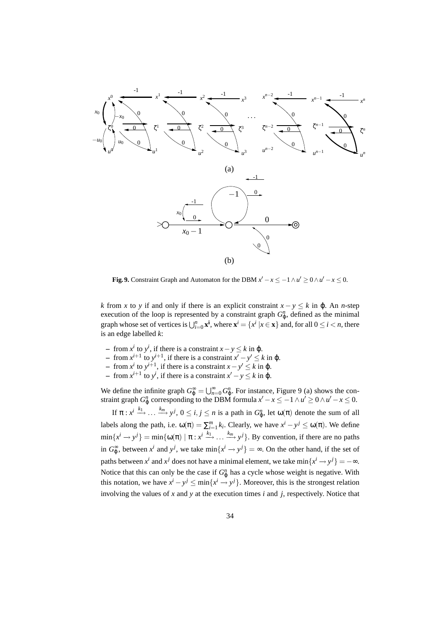

**Fig. 9.** Constraint Graph and Automaton for the DBM  $x' - x \leq -1 \wedge u' \geq 0 \wedge u' - x \leq 0$ .

*k* from *x* to *y* if and only if there is an explicit constraint  $x - y \leq k$  in  $\varphi$ . An *n*-step execution of the loop is represented by a constraint graph  $G_{\varphi}^n$ , defined as the minimal graph whose set of vertices is  $\bigcup_{i=0}^{n} \mathbf{x}^i$ , where  $\mathbf{x}^i = \{x^i \mid x \in \mathbf{x}\}$  and, for all  $0 \le i < n$ , there is an edge labelled *k*:

- $\leftarrow$  from *x<sup>i</sup>* to *y<sup>i</sup>*, if there is a constraint *x* − *y* ≤ *k* in φ.
- $\rightarrow$  from *x*<sup>*i*+1</sup> to *y*<sup>*i*+1</sup>, if there is a constraint *x*<sup>*'*</sup> − *y*<sup>*'*</sup> ≤ *k* in φ.
- $\leftarrow$  from *x<sup>i</sup>* to *y*<sup>*i*+1</sup>, if there is a constraint *x*−*y*<sup> $′$ </sup> ≤ *k* in φ.
- $\leftarrow$  from *x*<sup>*i*+1</sup> to *y<sup><i>i*</sup>, if there is a constraint *x*<sup>*'*</sup> − *y* ≤ *k* in φ.

We define the infinite graph  $G_{\varphi}^{\infty} = \bigcup_{n=0}^{\infty} G_{\varphi}^n$ . For instance, Figure 9 (a) shows the constraint graph  $G_{\varphi}^n$  corresponding to the DBM formula  $x'-x \leq -1 \wedge u' \geq 0 \wedge u'-x \leq 0$ .

If  $\pi : x^i \xrightarrow{k_1} \dots \xrightarrow{k_m} y^j$ ,  $0 \le i, j \le n$  is a path in  $G^n_{\varphi}$ , let  $\omega(\pi)$  denote the sum of all labels along the path, i.e.  $\omega(\pi) = \sum_{i=1}^{m} k_i$ . Clearly, we have  $x^i - y^j \leq \omega(\pi)$ . We define  $\min\{x^i \to y^j\} = \min\{\omega(\pi) \mid \pi : x^i \stackrel{k_1}{\longrightarrow} \dots \stackrel{k_m}{\longrightarrow} y^j\}$ . By convention, if there are no paths in  $G_{\varphi}^{\infty}$ , between  $x^{i}$  and  $y^{j}$ , we take  $\min\{x^{i} \rightarrow y^{j}\} = \infty$ . On the other hand, if the set of paths between  $x^i$  and  $x^j$  does not have a minimal element, we take  $\min\{x^i \rightarrow y^j\} = -\infty$ . Notice that this can only be the case if  $G_p^n$  has a cycle whose weight is negative. With this notation, we have  $x^{i} - y^{j} \le \min\{x^{i} \to y^{j}\}\$ . Moreover, this is the strongest relation involving the values of *x* and *y* at the execution times *i* and *j*, respectively. Notice that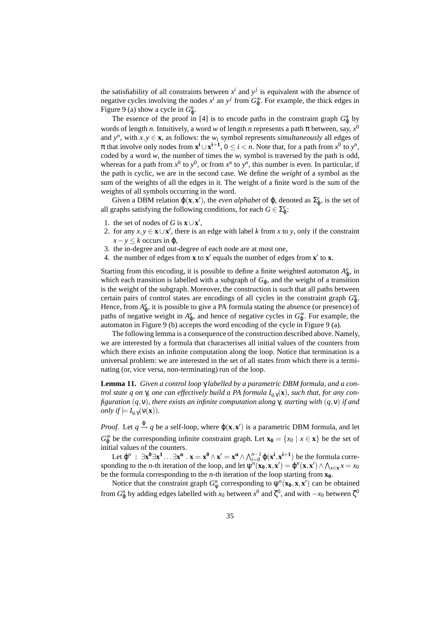the satisfiability of all constraints between  $x^i$  and  $y^j$  is equivalent with the absence of negative cycles involving the nodes  $x^i$  an  $y^j$  from  $G_{\varphi}^{\infty}$ . For example, the thick edges in Figure 9 (a) show a cycle in  $G_{\varphi}^n$ .

The essence of the proof in [4] is to encode paths in the constraint graph  $G_{\phi}^{n}$  by words of length *n*. Intuitively, a word *w* of length *n* represents a path π between, say, *x* 0 and  $y^n$ , with  $x, y \in \mathbf{x}$ , as follows: the  $w_i$  symbol represents *simultaneously* all edges of  $\pi$  that involve only nodes from  $\mathbf{x}^i \cup \mathbf{x}^{i+1}$ ,  $0 \le i < n$ . Note that, for a path from  $x^0$  to  $y^n$ , coded by a word  $w$ , the number of times the  $w_i$  symbol is traversed by the path is odd, whereas for a path from  $x^0$  to  $y^0$ , or from  $x^n$  to  $y^n$ , this number is even. In particular, if the path is cyclic, we are in the second case. We define the *weight* of a symbol as the sum of the weights of all the edges in it. The weight of a finite word is the sum of the weights of all symbols occurring in the word.

Given a DBM relation  $\varphi(\mathbf{x}, \mathbf{x}')$ , the *even alphabet* of  $\varphi$ , denoted as  $\Sigma_{\varphi}^e$ , is the set of all graphs satisfying the following conditions, for each  $G \in \sum_{\varphi}^e$ .

- 1. the set of nodes of *G* is  $\mathbf{x} \cup \mathbf{x}'$ ,
- 2. for any  $x, y \in \mathbf{x} \cup \mathbf{x}'$ , there is an edge with label *k* from *x* to *y*, only if the constraint  $x - y \leq k$  occurs in  $\varphi$ ,
- 3. the in-degree and out-degree of each node are at most one,
- 4. the number of edges from  $x$  to  $x'$  equals the number of edges from  $x'$  to  $x$ .

Starting from this encoding, it is possible to define a finite weighted automaton  $A_{\varphi}^e$ , in which each transition is labelled with a subgraph of  $G_{\varphi}$ , and the weight of a transition is the weight of the subgraph. Moreover, the construction is such that all paths between certain pairs of control states are encodings of all cycles in the constraint graph  $G_{\phi}^n$ . Hence, from  $A_{\varphi}^e$ , it is possible to give a PA formula stating the absence (or presence) of paths of negative weight in  $A_{\varphi}^e$ , and hence of negative cycles in  $G_{\varphi}^{\infty}$ . For example, the automaton in Figure 9 (b) accepts the word encoding of the cycle in Figure 9 (a).

The following lemma is a consequence of the construction described above. Namely, we are interested by a formula that characterises all initial values of the counters from which there exists an infinite computation along the loop. Notice that termination is a universal problem: we are interested in the set of all states from which there is a terminating (or, vice versa, non-terminating) run of the loop.

**Lemma 11.** *Given a control loop* γ *labelled by a parametric DBM formula, and a control state q on* γ*, one can effectively build a PA formula Iq*,γ(**x**)*, such that, for any configuration* (*q*,ν)*, there exists an infinite computation along* γ*, starting with* (*q*,ν) *if and only if*  $\models I_{a,\gamma}(\mathbf{v}(\mathbf{x}))$ *.* 

*Proof.* Let  $q \stackrel{\varphi}{\rightarrow} q$  be a self-loop, where  $\varphi(\mathbf{x}, \mathbf{x}')$  is a parametric DBM formula, and let  $G_{\varphi}^{\infty}$  be the corresponding infinite constraint graph. Let  $\mathbf{x}_0 = \{x_0 \mid x \in \mathbf{x}\}\)$  be the set of initial values of the counters.

Let  $\varphi^n$  :  $\exists x^0 \exists x^1 \dots \exists x^n \cdot x = x^0 \wedge x' = x^n \wedge \bigwedge_{i=0}^{n-1} \varphi(x^i, x^{i+1})$  be the formula corresponding to the *n*-th iteration of the loop, and let  $\psi^n(\mathbf{x_0}, \mathbf{x}, \mathbf{x}') = \phi^n(\mathbf{x}, \mathbf{x}') \wedge \bigwedge_{x \in \mathbf{x}} x = x_0$ be the formula corresponding to the *n*-th iteration of the loop starting from **x0**.

Notice that the constraint graph  $G_{\psi}^{n}$  corresponding to  $\psi^{n}(\mathbf{x_{0}}, \mathbf{x}, \mathbf{x}')$  can be obtained from  $G_{\phi}^n$  by adding edges labelled with *x*<sub>0</sub> between *x*<sup>0</sup> and ζ<sup>0</sup>, and with  $-x_0$  between ζ<sup>0</sup>